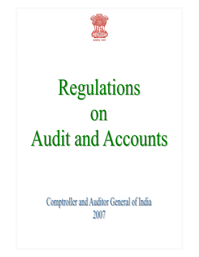

# Regulations 0N **Audit and Accounts**

Comptroller and Auditor General of India 2007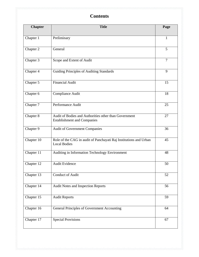# **Contents**

| <b>Chapter</b> | <b>Title</b>                                                                                | Page   |
|----------------|---------------------------------------------------------------------------------------------|--------|
| Chapter 1      | Preliminary                                                                                 | 1      |
| Chapter 2      | General                                                                                     | 5      |
| Chapter 3      | Scope and Extent of Audit                                                                   | $\tau$ |
| Chapter 4      | Guiding Principles of Auditing Standards                                                    | 9      |
| Chapter 5      | <b>Financial Audit</b>                                                                      | 15     |
| Chapter 6      | Compliance Audit                                                                            | 18     |
| Chapter 7      | Performance Audit                                                                           | 25     |
| Chapter 8      | Audit of Bodies and Authorities other than Government<br><b>Establishment and Companies</b> | 27     |
| Chapter 9      | <b>Audit of Government Companies</b>                                                        | 36     |
| Chapter 10     | Role of the CAG in audit of Panchayati Raj Institutions and Urban<br><b>Local Bodies</b>    | 45     |
| Chapter 11     | Auditing in Information Technology Environment                                              | 48     |
| Chapter 12     | <b>Audit Evidence</b>                                                                       | 50     |
| Chapter 13     | Conduct of Audit                                                                            | 52     |
| Chapter 14     | Audit Notes and Inspection Reports                                                          | 56     |
| Chapter 15     | <b>Audit Reports</b>                                                                        | 59     |
| Chapter $16$   | General Principles of Government Accounting                                                 | 64     |
| Chapter 17     | <b>Special Provisions</b>                                                                   | 67     |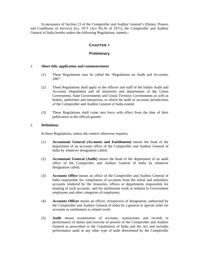In pursuance of Section 23 of the Comptroller and Auditor General's (Duties, Powers and Conditions of Service) Act, 1971 (Act No.56 of 1971), the Comptroller and Auditor General of India hereby makes the following Regulations, namely:-

# **Chapter 1**

# **Preliminary**

# 1. **Short title, application and commencement**

- (1) These Regulations may be called the 'Regulations on Audit and Accounts, 2007'.
- (2) These Regulations shall apply to the officers and staff of the Indian Audit and Accounts Department and all ministries and departments of the Union Government, State Governments and Union Territory Governments as well as bodies, authorities and enterprises, to which the audit or accounts jurisdictions of the Comptroller and Auditor General of India extend.
- (3) These Regulations shall come into force with effect from the date of their publication in the official gazette.

# 2. **Definitions**

In these Regulations, unless the context otherwise requires,

- (1) **Accountant General (Accounts and Entitlement***)* means the head of the department of an accounts office of the Comptroller and Auditor General of India by whatever designation called;
- (2) **Accountant General (Audit)** means the head of the department of an audit office of the Comptroller and Auditor General of India by whatever designation called;
- (3) **Accounts Office** means an office of the Comptroller and Auditor General of India responsible for compilation of accounts from the initial and subsidiary accounts rendered by the treasuries, offices or departments responsible for keeping of such accounts and for entitlement work in relation to Government employees and other categories of employees;
- (4) **Accounts Officer** means an officer, irrespective of designation, authorised by the Comptroller and Auditor General of India by a general or special order for accounts or entitlement or related work;
- (5) **Audit** means examination of accounts, transactions and records in performance of duties and exercise of powers of the Comptroller and Auditor General as prescribed in the Constitution of India and the Act and includes performance audit or any other type of audit determined by the Comptroller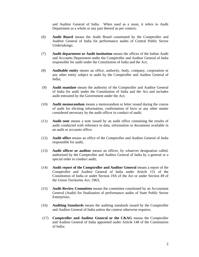and Auditor General of India. When used as a noun, it refers to Audit Department as a whole or any part thereof as per context;

- (6) **Audit Board** means the Audit Board constituted by the Comptroller and Auditor General of India for performance audits of Central Public Sector Undertakings;
- (7) **Audit department or Audit institution** means the offices of the Indian Audit and Accounts Department under the Comptroller and Auditor General of India responsible for audit under the Constitution of India and the Act;
- (8) **Auditable entity** means an office, authority, body, company, corporation or any other entity subject to audit by the Comptroller and Auditor General of India;
- (9) **Audit mandate** means the authority of the Comptroller and Auditor General of India for audit under the Constitution of India and the Act and includes audit entrusted by the Government under the Act;
- (10) **Audit memorandum** means a memorandum or letter issued during the course of audit for eliciting information, confirmation of facts or any other matter considered necessary by the audit officer in conduct of audit;
- (11) **Audit note** means a note issued by an audit office containing the results of audit conducted with reference to data, information or documents available in an audit or accounts office;
- (12) **Audit office** means an office of the Comptroller and Auditor General of India responsible for audit;
- (13) **Audit officer or auditor** means an officer, by whatever designation called, authorised by the Comptroller and Auditor General of India by a general or a special order to conduct audit;
- (14) **Audit report of the Comptroller and Auditor General** means a report of the Comptroller and Auditor General of India under Article 151 of the Constitution of India or under Section 19A of the Act or under Section 49 of the Union Territories Act, 1963;
- (15) **Audit Review Committee** means the committee constituted by an Accountant General (Audit) for finalisation of performance audits of State Public Sector Enterprises;
- (16) **Auditing Standards** means the auditing standards issued by the Comptroller and Auditor General of India unless the context otherwise requires;
- (17) **Comptroller and Auditor General or the C&AG** means the Comptroller and Auditor General of India appointed under Article 148 of the Constitution of India;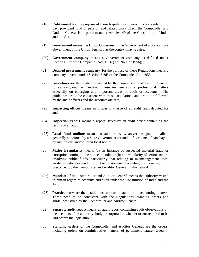- (18) **Entitlement** for the purpose of these Regulations means functions relating to pay, provident fund or pension and related work which the Comptroller and Auditor General is to perform under Article 149 of the Constitution of India and the Act;
- (19) **Government** means the Union Government, the Government of a State and/or Government of the Union Territory as the context may require;
- (20) **Government company** means a Government company as defined under Section 617 of the Companies Act, 1956 (Act No.1 of 1956);
- (21) **Deemed government company** for the purpose of these Regulations means a company covered under Section 619B of the Companies Act, 1956;
- (22) **Guidelines** are the guidelines issued by the Comptroller and Auditor General for carrying out the mandate. These are generally on professional matters especially on emerging and important areas of audit or accounts. The guidelines are to be consistent with these Regulations and are to be followed by the audit officers and the accounts officers;
- (23) **Inspecting officer** means an officer in charge of an audit team deputed for audit;
- (24) **Inspection report** means a report issued by an audit office containing the results of an audit;
- (25) **Local fund auditor** means an auditor, by whatever designation called, generally appointed by a State Government for audit of accounts of panchayati raj institutions and/or urban local bodies;
- (26) **Major irregularity** means (a) an instance of suspected material fraud or corruption coming to the notice in audit, or (b) an irregularity of serious nature involving public funds, particularly that relating to mismanagement, loss, waste, nugatory expenditure or loss of revenue, exceeding the monetary limit prescribed by the Comptroller and Auditor General in this regard.
- (27) **Mandate** of the Comptroller and Auditor General means the authority vested in him in regard to accounts and audit under the Constitution of India and the Act;
- (28) **Practice notes** are the detailed instructions on audit or on accounting matters. These need to be consistent with the Regulations, standing orders and guidelines issued by the Comptroller and Auditor General;
- (29) **Separate audit report** means an audit report containing audit observations on the accounts of an authority, body or corporation whether or not required to be laid before the legislature;
- (30) **Standing orders** of the Comptroller and Auditor General are the orders, including orders on administrative matters, of permanent nature issued in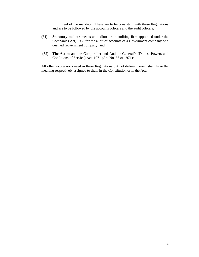fulfillment of the mandate. These are to be consistent with these Regulations and are to be followed by the accounts officers and the audit officers;

- (31) **Statutory auditor** means an auditor or an auditing firm appointed under the Companies Act, 1956 for the audit of accounts of a Government company or a deemed Government company; and
- (32) **The Act** means the Comptroller and Auditor General's (Duties, Powers and Conditions of Service) Act, 1971 (Act No. 56 of 1971);

All other expressions used in these Regulations but not defined herein shall have the meaning respectively assigned to them in the Constitution or in the Act.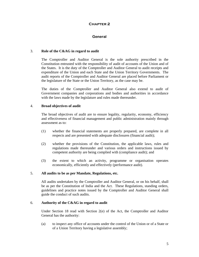# **General**

# 3. **Role of the C&AG in regard to audit**

The Comptroller and Auditor General is the sole authority prescribed in the Constitution entrusted with the responsibility of audit of accounts of the Union and of the States. It is the duty of the Comptroller and Auditor General to audit receipts and expenditure of the Union and each State and the Union Territory Governments. The audit reports of the Comptroller and Auditor General are placed before Parliament or the legislature of the State or the Union Territory, as the case may be.

The duties of the Comptroller and Auditor General also extend to audit of Government companies and corporations and bodies and authorities in accordance with the laws made by the legislature and rules made thereunder.

# 4. **Broad objectives of audit**

The broad objectives of audit are to ensure legality, regularity, economy, efficiency and effectiveness of financial management and public administration mainly through assessment as to:

- (1) whether the financial statements are properly prepared, are complete in all respects and are presented with adequate disclosures (financial audit);
- (2) whether the provisions of the Constitution, the applicable laws, rules and regulations made thereunder and various orders and instructions issued by competent authority are being complied with (compliance audit); and
- (3) the extent to which an activity, programme or organisation operates economically, efficiently and effectively (performance audit).

# 5. **All audits to be as per Mandate, Regulations, etc.**

All audits undertaken by the Comptroller and Auditor General, or on his behalf, shall be as per the Constitution of India and the Act. These Regulations, standing orders, guidelines and practice notes issued by the Comptroller and Auditor General shall guide the conduct of such audits.

# 6. **Authority of the C&AG in regard to audit**

Under Section 18 read with Section 2(e) of the Act, the Comptroller and Auditor General has the authority:

(a) to inspect any office of accounts under the control of the Union or of a State or of a Union Territory having a legislative assembly;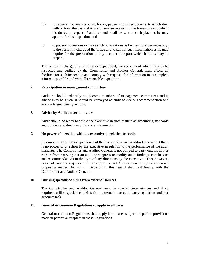- (b) to require that any accounts, books, papers and other documents which deal with or form the basis of or are otherwise relevant to the transactions to which his duties in respect of audit extend, shall be sent to such place as he may appoint for his inspection; and
- (c) to put such questions or make such observations as he may consider necessary, to the person in charge of the office and to call for such information as he may require for the preparation of any account or report which it is his duty to prepare.

The person in charge of any office or department, the accounts of which have to be inspected and audited by the Comptroller and Auditor General, shall afford all facilities for such inspection and comply with requests for information in as complete a form as possible and with all reasonable expedition.

# 7. **Participation in management committees**

Auditors should ordinarily not become members of management committees and if advice is to be given, it should be conveyed as audit advice or recommendation and acknowledged clearly as such.

# 8. **Advice by Audit on certain issues**

Audit should be ready to advise the executive in such matters as accounting standards and policies and the form of financial statements.

# 9. **No power of direction with the executive in relation to Audit**

It is important for the independence of the Comptroller and Auditor General that there is no power of direction by the executive in relation to the performance of the audit mandate. The Comptroller and Auditor General is not obliged to carry out, modify or refrain from carrying out an audit or suppress or modify audit findings, conclusions and recommendations in the light of any directions by the executive. This, however, does not preclude requests to the Comptroller and Auditor General by the executive proposing matters for audit. Decision in this regard shall rest finally with the Comptroller and Auditor General.

# 10. **Utilising specialised skills from external sources**

The Comptroller and Auditor General may, in special circumstances and if so required, utilise specialised skills from external sources in carrying out an audit or accounts task.

# 11. **General or common Regulations to apply in all cases**

General or common Regulations shall apply in all cases subject to specific provisions made in particular chapters in these Regulations.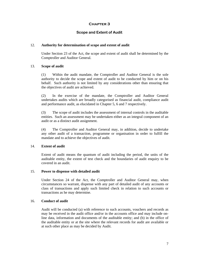# **Scope and Extent of Audit**

#### 12. **Authority for determination of scope and extent of audit**

Under Section 23 of the Act, the scope and extent of audit shall be determined by the Comptroller and Auditor General.

#### 13. **Scope of audit**

(1) Within the audit mandate, the Comptroller and Auditor General is the sole authority to decide the scope and extent of audit to be conducted by him or on his behalf. Such authority is not limited by any considerations other than ensuring that the objectives of audit are achieved.

(2) In the exercise of the mandate, the Comptroller and Auditor General undertakes audits which are broadly categorised as financial audit, compliance audit and performance audit, as elucidated in Chapter 5, 6 and 7 respectively.

(3) The scope of audit includes the assessment of internal controls in the auditable entities. Such an assessment may be undertaken either as an integral component of an audit or as a distinct audit assignment.

(4) The Comptroller and Auditor General may, in addition, decide to undertake any other audit of a transaction, programme or organisation in order to fulfill the mandate and to achieve the objectives of audit.

# 14. **Extent of audit**

Extent of audit means the quantum of audit including the period, the units of the auditable entity, the extent of test check and the boundaries of audit enquiry to be covered in an audit.

#### 15. **Power to dispense with detailed audit**

Under Section 24 of the Act, the Comptroller and Auditor General may, when circumstances so warrant, dispense with any part of detailed audit of any accounts or class of transactions and apply such limited check in relation to such accounts or transactions as he may determine.

#### 16. **Conduct of audit**

Audit will be conducted (a) with reference to such accounts, vouchers and records as may be received in the audit office and/or in the accounts office and may include online data, information and documents of the auditable entity; and (b) in the office of the auditable entity or at the site where the relevant records for audit are available or at such other place as may be decided by Audit.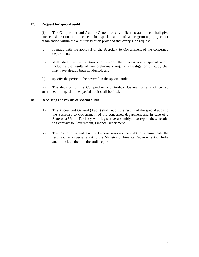# 17. **Request for special audit**

(1) The Comptroller and Auditor General or any officer so authorised shall give due consideration to a request for special audit of a programme, project or organisation within the audit jurisdiction provided that every such request:

- (a) is made with the approval of the Secretary to Government of the concerned department;
- (b) shall state the justification and reasons that necessitate a special audit, including the results of any preliminary inquiry, investigation or study that may have already been conducted; and
- (c) specify the period to be covered in the special audit.

(2) The decision of the Comptroller and Auditor General or any officer so authorised in regard to the special audit shall be final.

# 18. **Reporting the results of special audit**

- (1) The Accountant General (Audit) shall report the results of the special audit to the Secretary to Government of the concerned department and in case of a State or a Union Territory with legislative assembly, also report these results to Secretary to Government, Finance Department.
- (2) The Comptroller and Auditor General reserves the right to communicate the results of any special audit to the Ministry of Finance, Government of India and to include them in the audit report.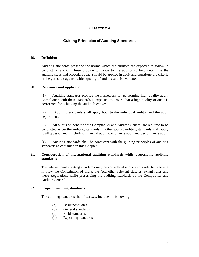# **Guiding Principles of Auditing Standards**

#### 19. **Definition**

 Auditing standards prescribe the norms which the auditors are expected to follow in conduct of audit. These provide guidance to the auditor to help determine the auditing steps and procedures that should be applied in audit and constitute the criteria or the yardstick against which quality of audit results is evaluated.

# 20. **Relevance and application**

(1) Auditing standards provide the framework for performing high quality audit. Compliance with these standards is expected to ensure that a high quality of audit is performed for achieving the audit objectives.

(2) Auditing standards shall apply both to the individual auditor and the audit department.

(3) All audits on behalf of the Comptroller and Auditor General are required to be conducted as per the auditing standards. In other words, auditing standards shall apply to all types of audit including financial audit, compliance audit and performance audit.

(4) Auditing standards shall be consistent with the guiding principles of auditing standards as contained in this Chapter.

# 21. **Consideration of international auditing standards while prescribing auditing standards**

The international auditing standards may be considered and suitably adapted keeping in view the Constitution of India, the Act, other relevant statutes, extant rules and these Regulations while prescribing the auditing standards of the Comptroller and Auditor General.

### 22. **Scope of auditing standards**

The auditing standards shall *inter alia* include the following:

- (a) Basic postulates
- (b) General standards
- (c) Field standards
- (d) Reporting standards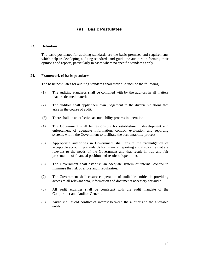# **(a) Basic Postulates**

# 23. **Definition**

The basic postulates for auditing standards are the basic premises and requirements which help in developing auditing standards and guide the auditors in forming their opinions and reports, particularly in cases where no specific standards apply.

#### 24. **Framework of basic postulates**

The basic postulates for auditing standards shall *inter alia* include the following:

- (1) The auditing standards shall be complied with by the auditors in all matters that are deemed material.
- (2) The auditors shall apply their own judgement to the diverse situations that arise in the course of audit.
- (3) There shall be an effective accountability process in operation.
- (4) The Government shall be responsible for establishment, development and enforcement of adequate information, control, evaluation and reporting systems within the Government to facilitate the accountability process.
- (5) Appropriate authorities in Government shall ensure the promulgation of acceptable accounting standards for financial reporting and disclosure that are relevant to the needs of the Government and that result in true and fair presentation of financial position and results of operations.
- (6) The Government shall establish an adequate system of internal control to minimise the risk of errors and irregularities.
- (7) The Government shall ensure cooperation of auditable entities in providing access to all relevant data, information and documents necessary for audit.
- (8) All audit activities shall be consistent with the audit mandate of the Comptroller and Auditor General.
- (9) Audit shall avoid conflict of interest between the auditor and the auditable entity.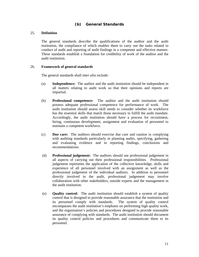# **(b) General Standards**

# 25. **Definition**

The general standards describe the qualifications of the auditor and the audit institution, the compliance of which enables them to carry out the tasks related to conduct of audit and reporting of audit findings in a competent and effective manner. These standards establish a foundation for credibility of work of the auditor and the audit institution.

# 26. **Framework of general standards**

The general standards shall *inter alia* include:

- (a) **Independence:** The auditor and the audit institution should be independent in all matters relating to audit work so that their opinions and reports are impartial.
- (b) **Professional competence:** The auditor and the audit institution should possess adequate professional competence for performance of work. The audit institution should assess skill needs to consider whether its workforce has the essential skills that match those necessary to fulfill the audit mandate. Accordingly, the audit institution should have a process for recruitment, hiring, continuous development, assignment and evaluation of personnel to maintain a competent workforce.
- (c) **Due care:** The auditors should exercise due care and caution in complying with auditing standards particularly in planning audits, specifying, gathering and evaluating evidence and in reporting findings, conclusions and recommendations.
- (d) **Professional judgement:** The auditors should use professional judgement in all aspects of carrying out their professional responsibilities. Professional judgement represents the application of the collective knowledge, skills and experience of all personnel involved with an assignment as well as the professional judgement of the individual auditors. In addition to personnel directly involved in the audit, professional judgement may involve collaboration with other stakeholders, outside experts and the management in the audit institution.
- (e) **Quality control:** The audit institution should establish a system of quality control that is designed to provide reasonable assurance that the institution and its personnel comply with standards. The system of quality control encompasses the audit institution's emphasis on performing high quality work, and the organisation's policies and procedures designed to provide reasonable assurance of complying with standards. The audit institution should document its quality control policies and procedures and communicate them to its personnel.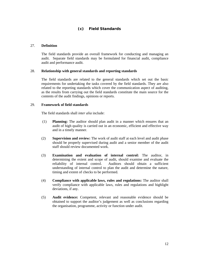# **(c) Field Standards**

## 27. **Definition**

The field standards provide an overall framework for conducting and managing an audit. Separate field standards may be formulated for financial audit, compliance audit and performance audit.

#### 28. **Relationship with general standards and reporting standards**

The field standards are related to the general standards which set out the basic requirements for undertaking the tasks covered by the field standards. They are also related to the reporting standards which cover the communication aspect of auditing, as the results from carrying out the field standards constitute the main source for the contents of the audit findings, opinions or reports.

#### 29. **Framework of field standards**

The field standards shall *inter alia* include:

- (1) **Planning:** The auditor should plan audit in a manner which ensures that an audit of high quality is carried out in an economic, efficient and effective way and in a timely manner.
- (2) **Supervision and review:** The work of audit staff at each level and audit phase should be properly supervised during audit and a senior member of the audit staff should review documented work.
- (3) **Examination and evaluation of internal control:** The auditor, in determining the extent and scope of audit, should examine and evaluate the reliability of internal control. Auditors should obtain a sufficient understanding of internal control to plan the audit and determine the nature, timing and extent of checks to be performed.
- (4) **Compliance with applicable laws, rules and regulations:** The auditor shall verify compliance with applicable laws, rules and regulations and highlight deviations, if any.
- (5) **Audit evidence:** Competent, relevant and reasonable evidence should be obtained to support the auditor's judgement as well as conclusions regarding the organisation, programme, activity or function under audit.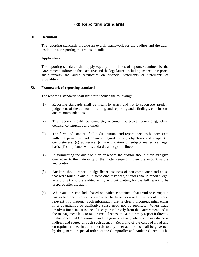# **(d) Reporting Standards**

# 30. **Definition**

The reporting standards provide an overall framework for the auditor and the audit institution for reporting the results of audit.

## 31. **Application**

 The reporting standards shall apply equally to all kinds of reports submitted by the Government auditors to the executive and the legislature, including inspection reports, audit reports and audit certificates on financial statements or statements of expenditure.

# 32. **Framework of reporting standards**

The reporting standards shall *inter alia* include the following:

- (1) Reporting standards shall be meant to assist, and not to supersede, prudent judgement of the auditor in framing and reporting audit findings, conclusions and recommendations.
- (2) The reports should be complete, accurate, objective, convincing, clear, concise, constructive and timely.
- (3) The form and content of all audit opinions and reports need to be consistent with the principles laid down in regard to (a) objectives and scope, (b) completeness, (c) addressee, (d) identification of subject matter, (e) legal basis, (f) compliance with standards, and (g) timeliness.
- (4) In formulating the audit opinion or report, the auditor should *inter alia* give due regard to the materiality of the matter keeping in view the amount, nature and context.
- (5) Auditors should report on significant instances of non-compliance and abuse that were found in audit. In some circumstances, auditors should report illegal acts promptly to the audited entity without waiting for the full report to be prepared after the audit.
- (6) When auditors conclude, based on evidence obtained, that fraud or corruption has either occurred or is suspected to have occurred, they should report relevant information. Such information that is clearly inconsequential either in a quantitative or qualitative sense need not be reported. When fraud involves financial assistance directly or indirectly from the Government and if the management fails to take remedial steps, the auditor may report it directly to the concerned Government and the grantor agency where such assistance is indirect and routed through such agency. Reporting of the cases of fraud and corruption noticed in audit directly to any other authorities shall be governed by the general or special orders of the Comptroller and Auditor General. The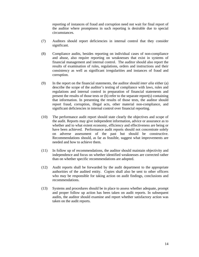reporting of instances of fraud and corruption need not wait for final report of the auditor where promptness in such reporting is desirable due to special circumstances.

- (7) Auditors should report deficiencies in internal control that they consider significant.
- (8) Compliance audits, besides reporting on individual cases of non-compliance and abuse, also require reporting on weaknesses that exist in systems of financial management and internal control. The auditor should also report the results of examination of rules, regulations, orders and instructions and their consistency as well as significant irregularities and instances of fraud and corruption.
- (9) In the report on the financial statements, the auditor should *inter alia* either (a) describe the scope of the auditor's testing of compliance with laws, rules and regulations and internal control in preparation of financial statements and present the results of those tests or (b) refer to the separate report(s) containing that information. In presenting the results of those tests, the auditor should report fraud, corruption, illegal acts, other material non-compliance, and significant deficiencies in internal control over financial reporting.
- (10) The performance audit report should state clearly the objectives and scope of the audit. Reports may give independent information, advice or assurance as to whether and to what extent economy, efficiency and effectiveness are being or have been achieved. Performance audit reports should not concentrate solely on adverse assessment of the past but should be constructive. Recommendations should, as far as feasible, suggest what improvements are needed and how to achieve them.
- (11) In follow up of recommendations, the auditor should maintain objectivity and independence and focus on whether identified weaknesses are corrected rather than on whether specific recommendations are adopted.
- (12) Audit reports shall be forwarded by the audit department to the appropriate authorities of the audited entity. Copies shall also be sent to other officers who may be responsible for taking action on audit findings, conclusions and recommendations.
- (13) Systems and procedures should be in place to assess whether adequate, prompt and proper follow up action has been taken on audit reports. In subsequent audits, the auditor should examine and report whether satisfactory action was taken on the audit reports.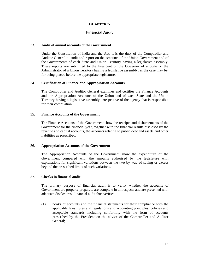# **Financial Audit**

#### 33. **Audit of annual accounts of the Government**

Under the Constitution of India and the Act, it is the duty of the Comptroller and Auditor General to audit and report on the accounts of the Union Government and of the Governments of each State and Union Territory having a legislative assembly. These reports are submitted to the President or the Governor of a State or the Administrator of a Union Territory having a legislative assembly, as the case may be, for being placed before the appropriate legislature.

# 34. **Certification of Finance and Appropriation Accounts**

The Comptroller and Auditor General examines and certifies the Finance Accounts and the Appropriation Accounts of the Union and of each State and the Union Territory having a legislative assembly, irrespective of the agency that is responsible for their compilation.

#### 35. **Finance Accounts of the Government**

The Finance Accounts of the Government show the receipts and disbursements of the Government for the financial year, together with the financial results disclosed by the revenue and capital accounts, the accounts relating to public debt and assets and other liabilities as prescribed.

# 36. **Appropriation Accounts of the Government**

The Appropriation Accounts of the Government show the expenditure of the Government compared with the amounts authorised by the legislature with explanations for significant variations between the two by way of saving or excess beyond the prescribed limits of such variations.

# 37. **Checks in financial audit**

The primary purpose of financial audit is to verify whether the accounts of Government are properly prepared, are complete in all respects and are presented with adequate disclosures. Financial audit thus verifies:

(1) books of accounts and the financial statements for their compliance with the applicable laws, rules and regulations and accounting principles, policies and acceptable standards including conformity with the form of accounts prescribed by the President on the advice of the Comptroller and Auditor General;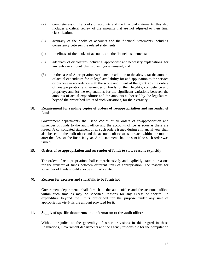- (2) completeness of the books of accounts and the financial statements; this also includes a critical review of the amounts that are not adjusted to their final classification;
- (3) accuracy of the books of accounts and the financial statements including consistency between the related statements;
- (4) timeliness of the books of accounts and the financial statements;
- (5) adequacy of disclosures including appropriate and necessary explanations for any entry or amount that is *prima facie* unusual; and
- (6) in the case of Appropriation Accounts, in addition to the above, (a) the amount of actual expenditure for its legal availability for and application to the service or purpose in accordance with the scope and intent of the grant; (b) the orders of re-appropriation and surrender of funds for their legality, competence and propriety; and (c) the explanations for the significant variations between the amounts of actual expenditure and the amounts authorised by the legislature, beyond the prescribed limits of such variations, for their veracity.

# 38. **Requirement for sending copies of orders of re-appropriation and surrender of funds**

Government departments shall send copies of all orders of re-appropriation and surrender of funds to the audit office and the accounts office as soon as these are issued. A consolidated statement of all such orders issued during a financial year shall also be sent to the audit office and the accounts office so as to reach within one month after the close of the financial year. A nil statement shall be sent if no such order was issued.

# 39. **Orders of re-appropriation and surrender of funds to state reasons explicitly**

The orders of re-appropriation shall comprehensively and explicitly state the reasons for the transfer of funds between different units of appropriation. The reasons for surrender of funds should also be similarly stated.

# 40. **Reasons for excesses and shortfalls to be furnished**

Government departments shall furnish to the audit office and the accounts office, within such time as may be specified, reasons for any excess or shortfall in expenditure beyond the limits prescribed for the purpose under any unit of appropriation vis-à-vis the amount provided for it.

# 41. **Supply of specific documents and information to the audit officer**

Without prejudice to the generality of other provisions in this regard in these Regulations, Government departments and the agency responsible for the compilation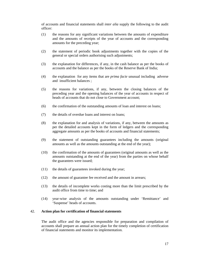of accounts and financial statements shall *inter alia* supply the following to the audit officer:

- (1) the reasons for any significant variations between the amounts of expenditure and the amounts of receipts of the year of accounts and the corresponding amounts for the preceding year;
- (2) the statement of periodic book adjustments together with the copies of the general or special orders authorising such adjustments;
- (3) the explanation for differences, if any, in the cash balance as per the books of accounts and the balance as per the books of the Reserve Bank of India;
- (4) the explanation for any items that are *prima facie* unusual including adverse and insufficient balances ;
- (5) the reasons for variations, if any, between the closing balances of the preceding year and the opening balances of the year of accounts in respect of heads of accounts that do not close to Government account;
- (6) the confirmation of the outstanding amounts of loan and interest on loans;
- (7) the details of overdue loans and interest on loans;
- (8) the explanation for and analysis of variations, if any, between the amounts as per the detailed accounts kept in the form of ledgers and the corresponding aggregate amounts as per the books of accounts and financial statements;
- (9) the statement of outstanding guarantees including the amounts (original amounts as well as the amounts outstanding at the end of the year);
- (10) the confirmation of the amounts of guarantees (original amounts as well as the amounts outstanding at the end of the year) from the parties on whose behalf the guarantees were issued;
- (11) the details of guarantees invoked during the year;
- (12) the amount of guarantee fee received and the amount in arrears;
- (13) the details of incomplete works costing more than the limit prescribed by the audit office from time to time; and
- (14) year-wise analysis of the amounts outstanding under 'Remittance' and 'Suspense' heads of accounts.

# 42. **Action plan for certification of financial statements**

The audit office and the agencies responsible for preparation and compilation of accounts shall prepare an annual action plan for the timely completion of certification of financial statements and monitor its implementation.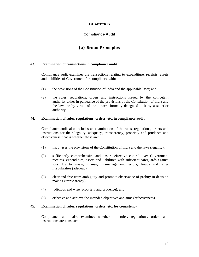# **Compliance Audit**

# **(a) Broad Principles**

# 43. **Examination of transactions in compliance audit**

Compliance audit examines the transactions relating to expenditure, receipts, assets and liabilities of Government for compliance with:

- (1) the provisions of the Constitution of India and the applicable laws; and
- (2) the rules, regulations, orders and instructions issued by the competent authority either in pursuance of the provisions of the Constitution of India and the laws or by virtue of the powers formally delegated to it by a superior authority.

# 44. **Examination of rules, regulations, orders, etc. in compliance audit**

 Compliance audit also includes an examination of the rules, regulations, orders and instructions for their legality, adequacy, transparency, propriety and prudence and effectiveness, that is whether these are:

- (1) *intra vires* the provisions of the Constitution of India and the laws (legality);
- (2) sufficiently comprehensive and ensure effective control over Government receipts, expenditure, assets and liabilities with sufficient safeguards against loss due to waste, misuse, mismanagement, errors, frauds and other irregularities (adequacy);
- (3) clear and free from ambiguity and promote observance of probity in decision making (transparency);
- (4) judicious and wise (propriety and prudence); and
- (5) effective and achieve the intended objectives and aims (effectiveness).

# 45. **Examination of rules, regulations, orders, etc. for consistency**

Compliance audit also examines whether the rules, regulations, orders and instructions are consistent.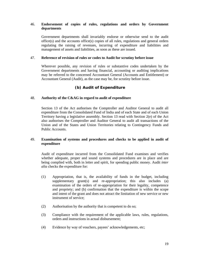# 46. **Endorsement of copies of rules, regulations and orders by Government departments**

 Government departments shall invariably endorse or otherwise send to the audit office(s) and the accounts office(s) copies of all rules, regulations and general orders regulating the raising of revenues, incurring of expenditure and liabilities and management of assets and liabilities, as soon as these are issued.

# 47. **Reference of revision of rules or codes to Audit for scrutiny before issue**

 Wherever possible, any revision of rules or substantive codes undertaken by the Government departments and having financial, accounting or auditing implications may be referred to the concerned Accountant General (Accounts and Entitlement) or Accountant General (Audit), as the case may be, for scrutiny before issue.

# **(b) Audit of Expenditure**

# 48. **Authority of the C&AG in regard to audit of expenditure**

 Section 13 of the Act authorises the Comptroller and Auditor General to audit all expenditure from the Consolidated Fund of India and of each State and of each Union Territory having a legislative assembly. Section 13 read with Section 2(e) of the Act also authorises the Comptroller and Auditor General to audit all transactions of the Union and of the States and Union Territories relating to Contingency Funds and Public Accounts.

# 49. **Examination of systems and procedures and checks to be applied in audit of expenditure**

 Audit of expenditure incurred from the Consolidated Fund examines and verifies whether adequate, proper and sound systems and procedures are in place and are being complied with, both in letter and spirit, for spending public money. Audit *inter alia* checks the expenditure for:

- (1) Appropriation, that is, the availability of funds in the budget, including supplementary grant(s) and re-appropriation; this also includes (a) examination of the orders of re-appropriation for their legality, competence and propriety; and (b) confirmation that the expenditure is within the scope and intent of the grant and does not attract the limitation of new service or new instrument of service;
- (2) Authorisation by the authority that is competent to do so;
- (3) Compliance with the requirement of the applicable laws, rules, regulations, orders and instructions in actual disbursement;
- (4) Evidence by way of vouchers, payees' acknowledgements, etc;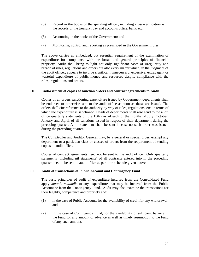- (5) Record in the books of the spending officer, including cross-verification with the records of the treasury, pay and accounts office, bank, etc;
- (6) Accounting in the books of the Government; and
- (7) Monitoring, control and reporting as prescribed in the Government rules.

The above carries an embedded, but essential, requirement of the examination of expenditure for compliance with the broad and general principles of financial propriety. Audit shall bring to light not only significant cases of irregularity and breach of rules, regulations and orders but also every matter which, in the judgment of the audit officer, appears to involve significant unnecessary, excessive, extravagant or wasteful expenditure of public money and resources despite compliance with the rules, regulations and orders.

# 50. **Endorsement of copies of sanction orders and contract agreements to Audit**

 Copies of all orders sanctioning expenditure issued by Government departments shall be endorsed or otherwise sent to the audit office as soon as these are issued. The orders shall cite reference to the authority by way of rules, regulations, etc. in terms of which the expenditure is sanctioned. Heads of departments shall also send to the audit office quarterly statements on the 15th day of each of the months of July, October, January and April, of all sanctions issued in respect of their department during the preceding quarter. A nil statement shall be sent in case no such order was issued during the preceding quarter.

The Comptroller and Auditor General may, by a general or special order, exempt any department or a particular class or classes of orders from the requirement of sending copies to audit office.

Copies of contract agreements need not be sent to the audit office. Only quarterly statements (including nil statements) of all contracts entered into in the preceding quarter need to be sent to audit office as per time schedule given above.

# 51. **Audit of transactions of Public Account and Contingency Fund**

 The basic principles of audit of expenditure incurred from the Consolidated Fund apply *mutatis mutandis* to any expenditure that may be incurred from the Public Account or from the Contingency Fund. Audit may also examine the transactions for their legality, competence and propriety and:

- (1) in the case of Public Account, for the availability of credit for any withdrawal; and
- (2) in the case of Contingency Fund, for the availability of sufficient balance in the Fund for any amount of advance as well as timely resumption to the Fund of any such amount.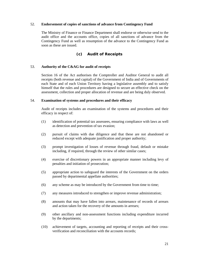# 52. **Endorsement of copies of sanctions of advance from Contingency Fund**

 The Ministry of Finance or Finance Department shall endorse or otherwise send to the audit office and the accounts office, copies of all sanctions of advance from the Contingency Fund as well as resumption of the advance to the Contingency Fund as soon as these are issued.

# **(c) Audit of Receipts**

# 53. **Authority of the C&AG for audit of receipts**

 Section 16 of the Act authorises the Comptroller and Auditor General to audit all receipts (both revenue and capital) of the Government of India and of Governments of each State and of each Union Territory having a legislative assembly and to satisfy himself that the rules and procedures are designed to secure an effective check on the assessment, collection and proper allocation of revenue and are being duly observed.

# 54. **Examination of systems and procedures and their efficacy**

 Audit of receipts includes an examination of the systems and procedures and their efficacy in respect of:

- (1) identification of potential tax assessees, ensuring compliance with laws as well as detection and prevention of tax evasion;
- (2) pursuit of claims with due diligence and that these are not abandoned or reduced except with adequate justification and proper authority;
- (3) prompt investigation of losses of revenue through fraud, default or mistake including, if required, through the review of other similar cases;
- (4) exercise of discretionary powers in an appropriate manner including levy of penalties and initiation of prosecution;
- (5) appropriate action to safeguard the interests of the Government on the orders passed by departmental appellate authorities;
- (6) any scheme as may be introduced by the Government from time to time;
- (7) any measures introduced to strengthen or improve revenue administration;
- (8) amounts that may have fallen into arrears, maintenance of records of arrears and action taken for the recovery of the amounts in arrears;
- (9) other ancillary and non-assessment functions including expenditure incurred by the departments;
- (10) achievement of targets, accounting and reporting of receipts and their crossverification and reconciliation with the accounts records;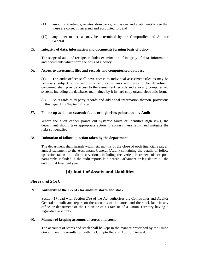- (11) amounts of refunds, rebates, drawbacks, remissions and abatements to see that these are correctly assessed and accounted for; and
- (12) any other matter, as may be determined by the Comptroller and Auditor General.

# 55. **Integrity of data, information and documents forming basis of policy**

 The scope of audit of receipts includes examination of integrity of data, information and documents which form the basis of a policy.

# 56. **Access to assessment files and records and computerised database**

(1) The audit officer shall have access to individual assessment files as may be necessary subject to provisions of applicable laws and rules. The department concerned shall provide access to the assessment records and also any computerised systems including the databases maintained by it in hard copy or/and electronic form.

(2) As regards third party records and additional information thereon, provisions in this regard in Chapter 12 refer.

# 57. **Follow up action on systemic faults or high risks pointed out by Audit**

 Where the audit officer points out systemic faults or identifies high risks, the department should take appropriate action to address these faults and mitigate the risks so identified.

# 58. **Intimation of follow up action taken by the department**

 The department shall furnish within six months of the close of each financial year, an annual statement to the Accountant General (Audit) containing the details of follow up action taken on audit observations, including recoveries, in respect of accepted paragraphs included in the audit reports laid before Parliament or legislature till the end of that financial year.

# **(d) Audit of Assets and Liabilities**

# *Stores and Stock*

# 59. **Authority of the C&AG for audit of stores and stock**

 Section 17 read with Section 2(e) of the Act authorises the Comptroller and Auditor General to audit and report on the accounts of the stores and the stock kept in any office or department of the Union or of a State or of a Union Territory having a legislative assembly.

# 60. **Manner of keeping accounts of stores and stock**

 The accounts of stores and stock shall be kept in the manner prescribed by the Union Government in consultation with the Comptroller and Auditor General.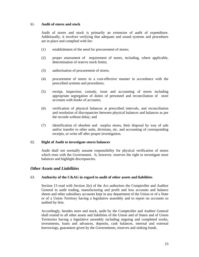# 61. **Audit of stores and stock**

 Audit of stores and stock is primarily an extension of audit of expenditure. Additionally, it involves verifying that adequate and sound systems and procedures are in place and complied with for:

- (1) establishment of the need for procurement of stores;
- (2) proper assessment of requirement of stores, including, where applicable, determination of reserve stock limits;
- (3) authorisation of procurement of stores;
- (4) procurement of stores in a cost-effective manner in accordance with the prescribed systems and procedures;
- (5) receipt, inspection, custody, issue and accounting of stores including appropriate segregation of duties of personnel and reconciliation of store accounts with books of accounts;
- (6) verification of physical balances at prescribed intervals, and reconciliation and resolution of discrepancies between physical balances and balances as per the records without delay; and
- (7) identification of obsolete and surplus stores, their disposal by way of sale and/or transfer to other units, divisions, etc. and accounting of corresponding receipts, or write off after proper investigation.

# 62. **Right of Audit to investigate stores balances**

 Audit shall not normally assume responsibility for physical verification of stores which rests with the Government. It, however, reserves the right to investigate store balances and highlight discrepancies.

# *Other Assets and Liabilities*

# 63. **Authority of the C&AG in regard to audit of other assets and liabilities**

 Section 13 read with Section 2(e) of the Act authorises the Comptroller and Auditor General to audit trading, manufacturing and profit and loss accounts and balance sheets and other subsidiary accounts kept in any department of the Union or of a State or of a Union Territory having a legislative assembly and to report on accounts so audited by him.

 Accordingly, besides store and stock, audit by the Comptroller and Auditor General shall extend to all other assets and liabilities of the Union and of States and of Union Territories having a legislative assembly including ongoing and completed works, investments, loans and advances, deposits, cash balances, internal and external borrowings, guarantees given by the Governments, reserves and sinking funds.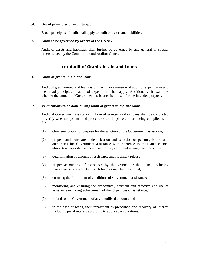# 64. **Broad principles of audit to apply**

Broad principles of audit shall apply to audit of assets and liabilities.

#### 65. **Audit to be governed by orders of the C&AG**

Audit of assets and liabilities shall further be governed by any general or special orders issued by the Comptroller and Auditor General.

# **(e) Audit of Grants-in-aid and Loans**

#### 66. **Audit of grants-in-aid and loans**

 Audit of grants-in-aid and loans is primarily an extension of audit of expenditure and the broad principles of audit of expenditure shall apply. Additionally, it examines whether the amount of Government assistance is utilised for the intended purpose.

### 67. **Verifications to be done during audit of grants-in-aid and loans**

 Audit of Government assistance in form of grants-in-aid or loans shall be conducted to verify whether systems and procedures are in place and are being complied with for:

- (1) clear enunciation of purpose for the sanction of the Government assistance;
- (2) proper and transparent identification and selection of persons, bodies and authorities for Government assistance with reference to their antecedents, absorptive capacity, financial position, systems and management practices;
- (3) determination of amount of assistance and its timely release;
- (4) proper accounting of assistance by the grantee or the loanee including maintenance of accounts in such form as may be prescribed;
- (5) ensuring the fulfillment of conditions of Government assistance;
- (6) monitoring and ensuring the economical, efficient and effective end use of assistance including achievement of the objectives of assistance;
- (7) refund to the Government of any unutilised amount; and
- (8) in the case of loans, their repayment as prescribed and recovery of interest including penal interest according to applicable conditions.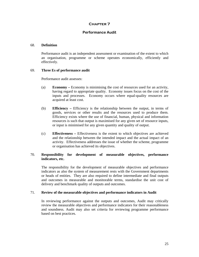# **Performance Audit**

#### 68. **Definition**

 Performance audit is an independent assessment or examination of the extent to which an organisation, programme or scheme operates economically, efficiently and effectively.

# 69. **Three Es of performance audit**

Performance audit assesses:

- (a) **Economy** Economy is minimising the cost of resources used for an activity, having regard to appropriate quality. Economy issues focus on the cost of the inputs and processes. Economy occurs where equal-quality resources are acquired at least cost.
- (b) **Efficiency** Efficiency is the relationship between the output, in terms of goods, services or other results and the resources used to produce them. Efficiency exists where the use of financial, human, physical and information resources is such that output is maximised for any given set of resource inputs, or input is minimised for any given quantity and quality of output.
- (c) **Effectiveness** Effectiveness is the extent to which objectives are achieved and the relationship between the intended impact and the actual impact of an activity. Effectiveness addresses the issue of whether the scheme, programme or organisation has achieved its objectives.

# 70. **Responsibility for development of measurable objectives, performance indicators, etc.**

 The responsibility for the development of measurable objectives and performance indicators as also the system of measurement rests with the Government departments or heads of entities. They are also required to define intermediate and final outputs and outcomes in measurable and monitorable terms, standardise the unit cost of delivery and benchmark quality of outputs and outcomes.

# 71. **Review of the measurable objectives and performance indicators in Audit**

 In reviewing performance against the outputs and outcomes, Audit may critically review the measurable objectives and performance indicators for their reasonableness and soundness. Audit may also set criteria for reviewing programme performance based on best practices.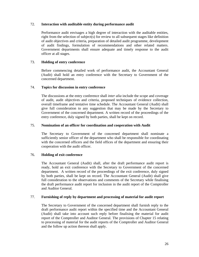# 72. **Interaction with auditable entity during performance audit**

 Performance audit envisages a high degree of interaction with the auditable entities, right from the selection of subject(s) for review to all subsequent stages like definition of audit objectives and criteria, preparation of detailed audit programme, development of audit findings, formulation of recommendations and other related matters. Government departments shall ensure adequate and timely response to the audit officer at all stages.

# 73. **Holding of entry conference**

 Before commencing detailed work of performance audit, the Accountant General (Audit) shall hold an entry conference with the Secretary to Government of the concerned department.

# 74. **Topics for discussion in entry conference**

 The discussions at the entry conference shall *inter alia* include the scope and coverage of audit, audit objectives and criteria, proposed techniques of evidence collection, overall timeframe and tentative time schedule. The Accountant General (Audit) shall give full consideration to any suggestion that may be made by the Secretary to Government of the concerned department. A written record of the proceedings of the entry conference, duly signed by both parties, shall be kept on record.

# 75. **Nomination of an officer for coordination and cooperation with Audit**

 The Secretary to Government of the concerned department shall nominate a sufficiently senior officer of the department who shall be responsible for coordinating with the concerned officers and the field offices of the department and ensuring their cooperation with the audit officer.

# 76. **Holding of exit conference**

 The Accountant General (Audit) shall, after the draft performance audit report is ready, hold an exit conference with the Secretary to Government of the concerned department. A written record of the proceedings of the exit conference, duly signed by both parties, shall be kept on record. The Accountant General (Audit) shall give full consideration to the observations and comments of the Secretary while finalising the draft performance audit report for inclusion in the audit report of the Comptroller and Auditor General.

# 77. **Furnishing of reply by department and processing of material for audit report**

 The Secretary to Government of the concerned department shall furnish reply to the draft performance audit report within the specified time and the Accountant General (Audit) shall take into account such reply before finalising the material for audit report of the Comptroller and Auditor General. The provisions of Chapter 15 relating to processing of material for the audit reports of the Comptroller and Auditor General and the follow up action thereon shall apply.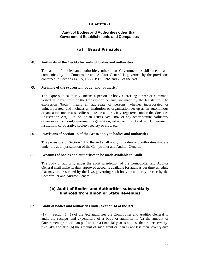# **Audit of Bodies and Authorities other than Government Establishments and Companies**

# **(a) Broad Principles**

#### 78. **Authority of the C&AG for audit of bodies and authorities**

 The audit of bodies and authorities, other than Government establishments and companies, by the Comptroller and Auditor General is governed by the provisions contained in Sections 14, 15, 19(2), 19(3), 19A and 20 of the Act.

#### 79. **Meaning of the expression 'body' and 'authority'**

 The expression 'authority' means a person or body exercising power or command vested in it by virtue of the Constitution or any law made by the legislature. The expression 'body' means an aggregate of persons, whether incorporated or unincorporated, and includes an institution or organisation set up as an autonomous organisation under a specific statute or as a society registered under the Societies Registration Act, 1860 or Indian Trusts Act, 1882 or any other statute, voluntary organisation or non-Government organisation, urban or rural local self Government institution, co-operative society, society or club, etc.

#### 80. **Provisions of Section 18 of the Act to apply to bodies and authorities**

 The provisions of Section 18 of the Act shall apply to bodies and authorities that are under the audit jurisdiction of the Comptroller and Auditor General.

#### 81. **Accounts of bodies and authorities to be made available to Audit**

 The body or authority under the audit jurisdiction of the Comptroller and Auditor General shall make its duly approved accounts available for audit as per time schedule that may be prescribed by the laws governing such body or authority or else by the Comptroller and Auditor General.

# **(b) Audit of Bodies and Authorities substantially financed from Union or State Revenues**

# 82. **Audit of bodies and authorities under Section 14 of the Act**

 (1) Section 14(1) of the Act authorises the Comptroller and Auditor General to audit the receipts and expenditure of a body or authority if (a) the amount of Government grant or loan paid to it in a financial year is not less than rupees twentyfive lakh and also (b) the amount of such grant or loan is not less than seventy-five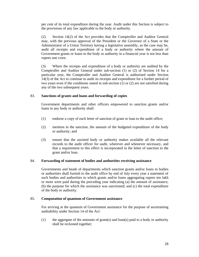per cent of its total expenditure during the year. Audit under this Section is subject to the provisions of any law applicable to the body or authority.

 (2) Section 14(2) of the Act provides that the Comptroller and Auditor General may, with the previous approval of the President or the Governor of a State or the Administrator of a Union Territory having a legislative assembly, as the case may be, audit all receipts and expenditure of a body or authority where the amount of Government grants or loans to the body or authority in a financial year is not less than rupees one crore.

 (3) Where the receipts and expenditure of a body or authority are audited by the Comptroller and Auditor General under sub-section (1) or (2) of Section 14 for a particular year, the Comptroller and Auditor General is authorised under Section 14(3) of the Act to continue to audit its receipts and expenditure for a further period of two years even if the conditions stated in sub-section (1) or (2) are not satisfied during any of the two subsequent years.

# 83. **Sanctions of grants and loans and forwarding of copies**

 Government departments and other officers empowered to sanction grants and/or loans to any body or authority shall:

- (1) endorse a copy of each letter of sanction of grant or loan to the audit office;
- (2) mention in the sanction, the amount of the budgeted expenditure of the body or authority; and
- (3) ensure that the assisted body or authority makes available all the relevant records to the audit officer for audit, wherever and whenever necessary, and that a requirement to this effect is incorporated in the letter of sanction to the grant and/or loan.

# 84. **Forwarding of statement of bodies and authorities receiving assistance**

 Governments and heads of departments which sanction grants and/or loans to bodies or authorities shall furnish to the audit office by end of July every year a statement of such bodies and authorities to which grants and/or loans aggregating rupees ten lakh or more were paid during the preceding year indicating (a) the amount of assistance; (b) the purpose for which the assistance was sanctioned; and (c) the total expenditure of the body or authority.

# 85. **Computation of quantum of Government assistance**

 For arriving at the quantum of Government assistance for the purpose of ascertaining auditability under Section 14 of the Act:

(1) the aggregate of the amounts of grant(s) and  $\text{loan}(s)$  paid to a body or authority shall be reckoned together;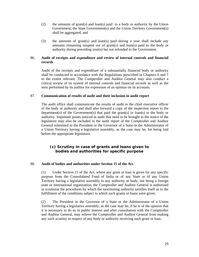- (2) the amounts of grant(s) and loan(s) paid to a body or authority by the Union Government, the State Government(s) and the Union Territory Government(s) shall be aggregated; and
- (3) the amounts of grant(s) and loan(s) paid during a year shall include any amounts remaining unspent out of grant(s) and loan(s) paid to the body or authority during preceding year(s) but not refunded to the Government.

# 86. **Audit of receipts and expenditure and review of internal controls and financial records**

 Audit of the receipts and expenditure of a substantially financed body or authority shall be conducted in accordance with the Regulations prescribed in Chapters 6 and 7 to the extent relevant. The Comptroller and Auditor General may also conduct a critical review of its system of internal controls and financial records as well as the tests performed by its auditor for expression of an opinion on its accounts.

#### 87. **Communication of results of audit and their inclusion in audit report**

 The audit office shall communicate the results of audit to the chief executive officer of the body or authority and shall also forward a copy of the inspection report to the department(s) of the Government(s) that paid the grant(s) or loan(s) to the body or authority. Important points noticed in audit that need to be brought to the notice of the legislature may also be included in the audit report of the Comptroller and Auditor General submitted to the President or the Governor of a State or the Administrator of a Union Territory having a legislative assembly, as the case may be, for being laid before the appropriate legislature.

# **(c) Scrutiny in case of grants and loans given to bodies and authorities for specific purpose**

#### 88. **Audit of bodies and authorities under Section 15 of the Act**

 (1) Under Section 15 of the Act, where any grant or loan is given for any specific purpose from the Consolidated Fund of India or of any State or of any Union Territory having a legislative assembly to any authority or body, not being a foreign state or international organisation, the Comptroller and Auditor General is authorised to scrutinise the procedures by which the sanctioning authority satisfies itself as to the fulfillment of the conditions subject to which such grants or loans were given.

(2) The President or the Governor of a State or the Administrator of a Union Territory having a legislative assembly, as the case may be, if he is of the opinion that it is necessary to do so in public interest and after consultation with the Comptroller and Auditor General, may relieve the Comptroller and Auditor General from making any such scrutiny in respect of any body or authority receiving such grant or loan.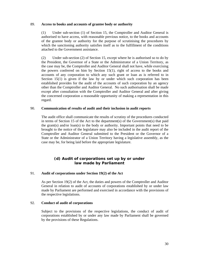#### 89. **Access to books and accounts of grantee body or authority**

 (1) Under sub-section (1) of Section 15, the Comptroller and Auditor General is authorised to have access, with reasonable previous notice, to the books and accounts of the grantee body or authority for the purpose of scrutinising the procedures by which the sanctioning authority satisfies itself as to the fulfillment of the conditions attached to the Government assistance.

(2) Under sub-section (2) of Section 15, except where he is authorised so to do by the President, the Governor of a State or the Administrator of a Union Territory, as the case may be, the Comptroller and Auditor General shall not have, while exercising the powers conferred on him by Section 15(1), right of access to the books and accounts of any corporation to which any such grant or loan as is referred to in Section 15(1) is given if the law by or under which such corporation has been established provides for the audit of the accounts of such corporation by an agency other than the Comptroller and Auditor General. No such authorisation shall be made except after consultation with the Comptroller and Auditor General and after giving the concerned corporation a reasonable opportunity of making a representation in this regard.

# 90. **Communication of results of audit and their inclusion in audit reports**

 The audit office shall communicate the results of scrutiny of the procedures conducted in terms of Section 15 of the Act to the department(s) of the Government(s) that paid the grant(s) and/or loan(s) to the body or authority. Important points that need to be brought to the notice of the legislature may also be included in the audit report of the Comptroller and Auditor General submitted to the President or the Governor of a State or the Administrator of a Union Territory having a legislative assembly, as the case may be, for being laid before the appropriate legislature.

# **(d) Audit of corporations set up by or under law made by Parliament**

# 91. **Audit of corporations under Section 19(2) of the Act**

 As per Section 19(2) of the Act, the duties and powers of the Comptroller and Auditor General in relation to audit of accounts of corporations established by or under law made by Parliament are performed and exercised in accordance with the provisions of the respective legislations.

# 92. **Conduct of audit of corporations**

 Subject to the provisions of the respective legislations, the conduct of audit of corporations established by or under any law made by Parliament shall be governed by the provisions of these Regulations.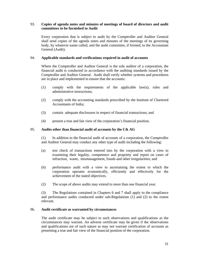# 93. **Copies of agenda notes and minutes of meetings of board of directors and audit committees to be furnished to Audit**

 Every corporation that is subject to audit by the Comptroller and Auditor General shall send copies of the agenda notes and minutes of the meetings of its governing body, by whatever name called, and the audit committee, if formed, to the Accountant General (Audit).

# 94. **Applicable standards and verifications required in audit of accounts**

 Where the Comptroller and Auditor General is the sole auditor of a corporation, the financial audit is conducted in accordance with the auditing standards issued by the Comptroller and Auditor General. Audit shall verify whether systems and procedures are in place and implemented to ensure that the accounts:

- (1) comply with the requirements of the applicable law(s), rules and administrative instructions;
- (2) comply with the accounting standards prescribed by the Institute of Chartered Accountants of India;
- (3) contain adequate disclosures in respect of financial transactions; and
- (4) present a true and fair view of the corporation's financial position.

# 95. **Audits other than financial audit of accounts by the C& AG**

 (1) In addition to the financial audit of accounts of a corporation, the Comptroller and Auditor General may conduct any other type of audit including the following:

- (a) test check of transactions entered into by the corporation with a view to examining their legality, competence and propriety and report on cases of infraction, waste, mismanagement, frauds and other irregularities; and
- (b) performance audit with a view to ascertaining the extent to which the corporation operates economically, efficiently and effectively for the achievement of the stated objectives.
- (2) The scope of above audits may extend to more than one financial year.

(3) The Regulations contained in Chapters 6 and 7 shall apply to the compliance and performance audits conducted under sub-Regulations (1) and (2) to the extent relevant.

# 96. **Audit certificate as warranted by circumstances**

 The audit certificate may be subject to such observations and qualifications as the circumstances may warrant. An adverse certificate may be given if the observations and qualifications are of such nature as may not warrant certification of accounts as presenting a true and fair view of the financial position of the corporation.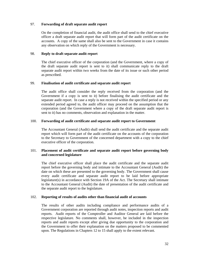# 97. **Forwarding of draft separate audit report**

On the completion of financial audit, the audit office shall send to the chief executive officer a draft separate audit report that will form part of the audit certificate on the accounts. A copy of the same shall also be sent to the Government in case it contains any observation on which reply of the Government is necessary.

# 98. **Reply to draft separate audit report**

 The chief executive officer of the corporation (and the Government, where a copy of the draft separate audit report is sent to it) shall communicate reply to the draft separate audit report within two weeks from the date of its issue or such other period as prescribed.

# 99. **Finalisation of audit certificate and separate audit report**

 The audit office shall consider the reply received from the corporation (and the Government if a copy is sent to it) before finalising the audit certificate and the separate audit report. In case a reply is not received within the specified period or any extended period agreed to, the audit officer may proceed on the assumption that the corporation (and the Government where a copy of the draft separate audit report is sent to it) has no comments, observation and explanation in the matter.

# 100. **Forwarding of audit certificate and separate audit report to Government**

 The Accountant General (Audit) shall send the audit certificate and the separate audit report which will form part of the audit certificate on the accounts of the corporation to the Secretary to Government of the concerned department with a copy to the chief executive officer of the corporation.

# 101. **Placement of audit certificate and separate audit report before governing body and concerned legislature**

 The chief executive officer shall place the audit certificate and the separate audit report before the governing body and intimate to the Accountant General (Audit) the date on which these are presented to the governing body. The Government shall cause every audit certificate and separate audit report to be laid before appropriate legislature(s) in accordance with Section 19A of the Act. The Secretary shall intimate to the Accountant General (Audit) the date of presentation of the audit certificate and the separate audit report to the legislature.

# 102. **Reporting of results of audits other than financial audit of accounts**

 The results of other audits including compliance and performance audits of a Government corporation are reported through audit notes, inspection reports and audit reports. Audit reports of the Comptroller and Auditor General are laid before the respective legislature. No comments shall, however, be included in the inspection reports and audit reports except after giving due opportunity to the corporation and the Government to offer their explanation on the matters proposed to be commented upon. The Regulations in Chapters 12 to 15 shall apply to the extent relevant.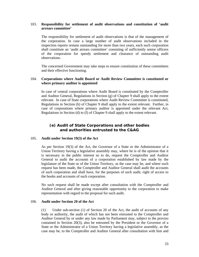# 103. **Responsibility for settlement of audit observations and constitution of 'audit arrears committee'**

 The responsibility for settlement of audit observations is that of the management of the corporation. In case a large number of audit observations included in the inspection reports remain outstanding for more than two years, each such corporation shall constitute an 'audit arrears committee' consisting of sufficiently senior officers of the corporation for speedy settlement and clearance of outstanding audit observations.

The concerned Government may take steps to ensure constitution of these committees and their effective functioning.

# 104. **Corporations where Audit Board or Audit Review Committee is constituted or where primary auditor is appointed**

 In case of central corporations where Audit Board is constituted by the Comptroller and Auditor General, Regulations in Section  $(g)$  of Chapter 9 shall apply to the extent relevant. In case of State corporations where Audit Review Committee is constituted, Regulations in Section (h) of Chapter 9 shall apply to the extent relevant. Further, in case of corporations where primary auditor is appointed under the relevant Act, Regulations in Section (d) to (f) of Chapter 9 shall apply to the extent relevant.

# **(e) Audit of State Corporations and other bodies and authorities entrusted to the C&AG**

# 105. **Audit under Section 19(3) of the Act**

 As per Section 19(3) of the Act, the Governor of a State or the Administrator of a Union Territory having a legislative assembly may, where he is of the opinion that it is necessary in the public interest so to do, request the Comptroller and Auditor General to audit the accounts of a corporation established by law made by the legislature of the State or of the Union Territory, as the case may be, and where such request has been made, the Comptroller and Auditor General shall audit the accounts of such corporation and shall have, for the purposes of such audit, right of access to the books and accounts of such corporation.

No such request shall be made except after consultation with the Comptroller and Auditor General and after giving reasonable opportunity to the corporation to make representation with regard to the proposal for such audit.

#### 106. **Audit under Section 20 of the Act**

 (1) Under sub-section (1) of Section 20 of the Act, the audit of accounts of any body or authority, the audit of which has not been entrusted to the Comptroller and Auditor General by or under any law made by Parliament may, subject to the proviso contained in Section 20(3), also be entrusted by the President or the Governor of a State or the Administrator of a Union Territory having a legislative assembly, as the case may be, to the Comptroller and Auditor General after consultation with him and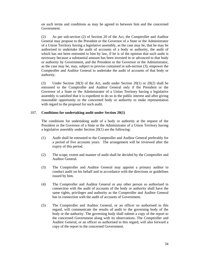on such terms and conditions as may be agreed to between him and the concerned Government.

 (2) As per sub-section (2) of Section 20 of the Act, the Comptroller and Auditor General may propose to the President or the Governor of a State or the Administrator of a Union Territory having a legislative assembly, as the case may be, that he may be authorised to undertake the audit of accounts of a body or authority, the audit of which has not been entrusted to him by law, if he is of the opinion that such audit is necessary because a substantial amount has been invested in or advanced to that body or authority by Government, and the President or the Governor or the Administrator, as the case may be, may, subject to proviso contained in sub-section (3), empower the Comptroller and Auditor General to undertake the audit of accounts of that body or authority.

 (3) Under Section 20(3) of the Act, audit under Section 20(1) or 20(2) shall be entrusted to the Comptroller and Auditor General only if the President or the Governor of a State or the Administrator of a Union Territory having a legislative assembly is satisfied that it is expedient to do so in the public interest and after giving reasonable opportunity to the concerned body or authority to make representation with regard to the proposal for such audit.

# 107. **Conditions for undertaking audit under Section 20(1)**

 The conditions for undertaking audit of a body or authority at the request of the President or the Governor of a State or the Administrator of a Union Territory having a legislative assembly under Section 20(1) are the following:

- (1) Audit shall be entrusted to the Comptroller and Auditor General preferably for a period of five accounts years. The arrangement will be reviewed after the expiry of this period.
- (2) The scope, extent and manner of audit shall be decided by the Comptroller and Auditor General.
- (3) The Comptroller and Auditor General may appoint a primary auditor to conduct audit on his behalf and in accordance with the directions or guidelines issued by him.
- (4) The Comptroller and Auditor General or any other person so authorised in connection with the audit of accounts of the body or authority shall have the same rights, privileges and authority as the Comptroller and Auditor General has in connection with the audit of accounts of Government.
- (5) The Comptroller and Auditor General, or an officer so authorised in this regard, will communicate the results of audit to the governing body of the body or the authority. The governing body shall submit a copy of the report to the concerned Government along with its observations. The Comptroller and Auditor General, or an officer so authorised in this regard, will also forward a copy of the report to the concerned Government.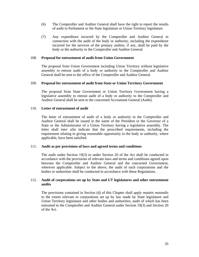- (6) The Comptroller and Auditor General shall have the right to report the results of audit to Parliament or the State legislature or Union Territory legislature.
- (7) Any expenditure incurred by the Comptroller and Auditor General in connection with the audit of the body or authority, including the expenditure incurred for the services of the primary auditor, if any, shall be paid by the body or the authority to the Comptroller and Auditor General.

#### 108. **Proposal for entrustment of audit from Union Government**

 The proposal from Union Government including Union Territory without legislative assembly to entrust audit of a body or authority to the Comptroller and Auditor General shall be sent to the office of the Comptroller and Auditor General.

#### 109. **Proposal for entrustment of audit from State or Union Territory Government**

The proposal from State Government or Union Territory Government having a legislative assembly to entrust audit of a body or authority to the Comptroller and Auditor General shall be sent to the concerned Accountant General (Audit).

#### 110. **Letter of entrustment of audit**

 The letter of entrustment of audit of a body or authority to the Comptroller and Auditor General shall be issued in the name of the President or the Governor of a State or the Administrator of a Union Territory having a legislative assembly. The letter shall *inter alia* indicate that the prescribed requirements, including the requirement relating to giving reasonable opportunity to the body or authority, where applicable, have been satisfied.

# 111. **Audit as per provisions of laws and agreed terms and conditions**

 The audit under Section 19(3) or under Section 20 of the Act shall be conducted in accordance with the provisions of relevant laws and terms and conditions agreed upon between the Comptroller and Auditor General and the concerned Government, wherever applicable. Subject to the above, the audit of such corporations and the bodies or authorities shall be conducted in accordance with these Regulations.

# 112. **Audit of corporations set up by State and UT legislatures and other entrustment audits**

 The provisions contained in Section (d) of this Chapter shall apply *mutatis mutandis* to the extent relevant to corporations set up by law made by State legislature and Union Territory legislature and other bodies and authorities, audit of which has been entrusted to the Comptroller and Auditor General under Section 19(3) and Section 20 of the Act.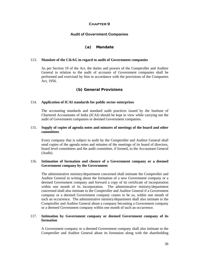# **Audit of Government Companies**

# **(a) Mandate**

#### 113. **Mandate of the C&AG in regard to audit of Government companies**

 As per Section 19 of the Act, the duties and powers of the Comptroller and Auditor General in relation to the audit of accounts of Government companies shall be performed and exercised by him in accordance with the provisions of the Companies Act, 1956.

# **(b) General Provisions**

#### 114. **Application of ICAI standards for public sector enterprises**

The accounting standards and standard audit practices issued by the Institute of Chartered Accountants of India (ICAI) should be kept in view while carrying out the audit of Government companies or deemed Government companies.

# 115. **Supply of copies of agenda notes and minutes of meetings of the board and other committees**

 Every company that is subject to audit by the Comptroller and Auditor General shall send copies of the agenda notes and minutes of the meetings of its board of directors, board level committees and the audit committee, if formed, to the Accountant General (Audit).

#### 116. **Intimation of formation and closure of a Government company or a deemed Government company by the Government**

 The administrative ministry/department concerned shall intimate the Comptroller and Auditor General in writing about the formation of a new Government company or a deemed Government company and forward a copy of its certificate of incorporation within one month of its incorporation. The administrative ministry/department concerned shall also intimate to the Comptroller and Auditor General if a Government company or a deemed Government company ceases to be so, within one month of such an occurrence. The administrative ministry/department shall also intimate to the Comptroller and Auditor General about a company becoming a Government company or a deemed Government company within one month of such an occurrence.

## 117. **Intimation by Government company or deemed Government company of its formation**

 A Government company or a deemed Government company shall also intimate to the Comptroller and Auditor General about its formation along with the shareholding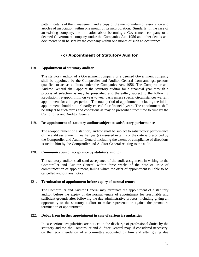pattern, details of the management and a copy of the memorandum of association and articles of association within one month of its incorporation. Similarly, in the case of an existing company, the intimation about becoming a Government company or a deemed Government company under the Companies Act, 1956 and other details and documents shall be sent by the company within one month of such an occurrence.

# **(c) Appointment of Statutory Auditor**

#### 118. **Appointment of statutory auditor**

 The statutory auditor of a Government company or a deemed Government company shall be appointed by the Comptroller and Auditor General from amongst persons qualified to act as auditors under the Companies Act, 1956. The Comptroller and Auditor General shall appoint the statutory auditor for a financial year through a process of selection as may be prescribed and thereafter, subject to the following Regulation, re-appoint him on year to year basis unless special circumstances warrant appointment for a longer period. The total period of appointment including the initial appointment should not ordinarily exceed four financial years. The appointment shall be subject to such terms and conditions as may be prescribed from time to time by the Comptroller and Auditor General.

#### 119. **Re-appointment of statutory auditor subject to satisfactory performance**

 The re-appointment of a statutory auditor shall be subject to satisfactory performance of the audit assignment in earlier year(s) assessed in terms of the criteria prescribed by the Comptroller and Auditor General including the extent of compliance of directions issued to him by the Comptroller and Auditor General relating to the audit.

### 120. **Communication of acceptance by statutory auditor**

 The statutory auditor shall send acceptance of the audit assignment in writing to the Comptroller and Auditor General within three weeks of the date of issue of communication of appointment, failing which the offer of appointment is liable to be cancelled without any notice.

#### 121. **Termination of appointment before expiry of normal tenure**

 The Comptroller and Auditor General may terminate the appointment of a statutory auditor before the expiry of the normal tenure of appointment for reasonable and sufficient grounds after following the due administrative process, including giving an opportunity to the statutory auditor to make representation against the premature termination of appointment.

#### 122. **Debar from further appointment in case of serious irregularities**

 In case serious irregularities are noticed in the discharge of professional duties by the statutory auditor, the Comptroller and Auditor General may, if considered necessary, on the recommendation of a committee appointed by him and after giving due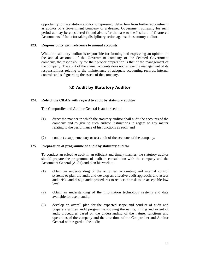opportunity to the statutory auditor to represent, debar him from further appointment as auditor of a Government company or a deemed Government company for such period as may be considered fit and also refer the case to the Institute of Chartered Accountants of India for taking disciplinary action against the statutory auditor.

## 123. **Responsibility with reference to annual accounts**

 While the statutory auditor is responsible for forming and expressing an opinion on the annual accounts of the Government company or the deemed Government company, the responsibility for their proper preparation is that of the management of the company. The audit of the annual accounts does not relieve the management of its responsibilities relating to the maintenance of adequate accounting records, internal controls and safeguarding the assets of the company.

# **(d) Audit by Statutory Auditor**

# 124. **Role of the C&AG with regard to audit by statutory auditor**

The Comptroller and Auditor General is authorised to:

- (1) direct the manner in which the statutory auditor shall audit the accounts of the company and to give to such auditor instructions in regard to any matter relating to the performance of his functions as such; and
- (2) conduct a supplementary or test audit of the accounts of the company.

#### 125. **Preparation of programme of audit by statutory auditor**

 To conduct an effective audit in an efficient and timely manner, the statutory auditor should prepare the programme of audit in consultation with the company and the Accountant General (Audit) and plan his work to:

- (1) obtain an understanding of the activities, accounting and internal control systems to plan the audit and develop an effective audit approach; and assess audit risk and design audit procedures to reduce the risk to an acceptable low level;
- (2) obtain an understanding of the information technology systems and data available for use in audit;
- (3) develop an overall plan for the expected scope and conduct of audit and prepare a written audit programme showing the nature, timing and extent of audit procedures based on the understanding of the nature, functions and operations of the company and the directions of the Comptroller and Auditor General with regard to the audit;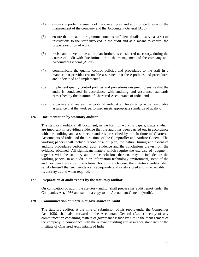- (4) discuss important elements of the overall plan and audit procedures with the management of the company and the Accountant General (Audit);
- (5) ensure that the audit programme contains sufficient details to serve as a set of instructions to the staff involved in the audit and as a means to control the proper execution of work;
- (6) revise and develop the audit plan further, as considered necessary, during the course of audit with due intimation to the management of the company and Accountant General (Audit);
- (7) communicate the quality control policies and procedures to the staff in a manner that provides reasonable assurance that these policies and procedures are understood and implemented;
- (8) implement quality control policies and procedures designed to ensure that the audit is conducted in accordance with auditing and assurance standards prescribed by the Institute of Chartered Accountants of India; and
- (9) supervise and review the work of audit at all levels to provide reasonable assurance that the work performed meets appropriate standards of quality.

# 126. **Documentation by statutory auditor**

 The statutory auditor shall document, in the form of working papers, matters which are important in providing evidence that the audit has been carried out in accordance with the auditing and assurance standards prescribed by the Institute of Chartered Accountants of India and the directions of the Comptroller and Auditor General. The working papers shall include record of audit plan, the nature, timing and extent of auditing procedures performed, audit evidence and the conclusions drawn from the evidence obtained. All significant matters which require the exercise of judgment, together with the statutory auditor's conclusions thereon, may be included in the working papers. In an audit in an information technology environment, some of the audit evidence may be in electronic form. In such case, the statutory auditor shall satisfy himself that such evidence is adequately and safely stored and is retrievable in its entirety as and when required.

# 127. **Preparation of audit report by the statutory auditor**

 On completion of audit, the statutory auditor shall prepare his audit report under the Companies Act, 1956 and submit a copy to the Accountant General (Audit).

# 128. **Communication of matters of governance to Audit**

 The statutory auditor, at the time of submission of his report under the Companies Act, 1956, shall also forward to the Accountant General (Audit) a copy of any communication containing matters of governance issued by him to the management of the company in compliance with the relevant auditing and assurance standards of the Institute of Chartered Accountants of India.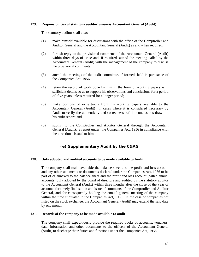# 129. **Responsibilities of statutory auditor vis-à-vis Accountant General (Audit)**

The statutory auditor shall also:

- (1) make himself available for discussions with the office of the Comptroller and Auditor General and the Accountant General (Audit) as and when required;
- (2) furnish reply to the provisional comments of the Accountant General (Audit) within three days of issue and, if required, attend the meeting called by the Accountant General (Audit) with the management of the company to discuss the provisional comments;
- (3) attend the meetings of the audit committee, if formed, held in pursuance of the Companies Act, 1956;
- (4) retain the record of work done by him in the form of working papers with sufficient details so as to support his observations and conclusions for a period of five years unless required for a longer period;
- (5) make portions of or extracts from his working papers available to the Accountant General (Audit) in cases where it is considered necessary by Audit to verify the authenticity and correctness of the conclusions drawn in his audit report; and
- (6) submit to the Comptroller and Auditor General through the Accountant General (Audit), a report under the Companies Act, 1956 in compliance with the directions issued to him.

# **(e) Supplementary Audit by the C&AG**

#### 130. **Duly adopted and audited accounts to be made available to Audit**

 The company shall make available the balance sheet and the profit and loss account and any other statements or documents declared under the Companies Act, 1956 to be part of or annexed to the balance sheet and the profit and loss account (called annual accounts) duly adopted by the board of directors and audited by the statutory auditor to the Accountant General (Audit) within three months after the close of the year of accounts for timely finalisation and issue of comments of the Comptroller and Auditor General, and for consequently holding the annual general meeting of the company within the time stipulated in the Companies Act, 1956. In the case of companies not listed on the stock exchange, the Accountant General (Audit) may extend the said date by one month.

#### 131. **Records of the company to be made available to audit**

 The company shall expeditiously provide the required books of accounts, vouchers, data, information and other documents to the officers of the Accountant General (Audit) to discharge their duties and functions under the Companies Act, 1956.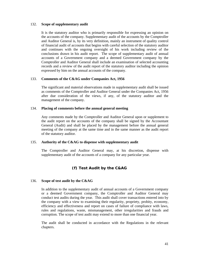#### 132. **Scope of supplementary audit**

 It is the statutory auditor who is primarily responsible for expressing an opinion on the accounts of the company. Supplementary audit of the accounts by the Comptroller and Auditor General is, by its very definition, mainly an instrument of quality control of financial audit of accounts that begins with careful selection of the statutory auditor and continues with the ongoing oversight of his work including review of the conclusions drawn in his audit report. The scope of supplementary audit of annual accounts of a Government company and a deemed Government company by the Comptroller and Auditor General shall include an examination of selected accounting records and a review of the audit report of the statutory auditor including the opinion expressed by him on the annual accounts of the company.

# 133. **Comments of the C&AG under Companies Act, 1956**

 The significant and material observations made in supplementary audit shall be issued as comments of the Comptroller and Auditor General under the Companies Act, 1956 after due consideration of the views, if any, of the statutory auditor and the management of the company.

## 134. **Placing of comments before the annual general meeting**

 Any comments made by the Comptroller and Auditor General upon or supplement to the audit report on the accounts of the company shall be signed by the Accountant General (Audit) and shall be placed by the management before the annual general meeting of the company at the same time and in the same manner as the audit report of the statutory auditor.

# 135. **Authority of the C&AG to dispense with supplementary audit**

 The Comptroller and Auditor General may, at his discretion, dispense with supplementary audit of the accounts of a company for any particular year.

# **(f) Test Audit by the C&AG**

#### 136. **Scope of test audit by the C&AG**

 In addition to the supplementary audit of annual accounts of a Government company or a deemed Government company, the Comptroller and Auditor General may conduct test audits during the year. This audit shall cover transactions entered into by the company with a view to examining their regularity, propriety, probity, economy, efficiency and effectiveness and report on cases of failure of compliance with laws, rules and regulations, waste, mismanagement, other irregularities and frauds and corruption. The scope of test audit may extend to more than one financial year.

The audit shall be conducted in accordance with the Regulations in the relevant chapters.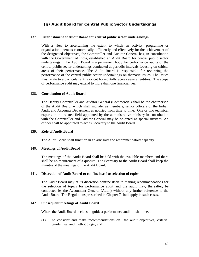# **(g) Audit Board for Central Public Sector Undertakings**

## 137. **Establishment of Audit Board for central public sector undertakings**

With a view to ascertaining the extent to which an activity, programme or organisation operates economically, efficiently and effectively for the achievement of the designated objectives, the Comptroller and Auditor General has, in consultation with the Government of India, established an Audit Board for central public sector undertakings. The Audit Board is a permanent body for performance audits of the central public sector undertakings conducted at periodic intervals focusing on critical areas of their performance. The Audit Board is responsible for reviewing the performance of the central public sector undertakings on thematic issues. The issues may relate to a particular entity or cut horizontally across several entities. The scope of performance audit may extend to more than one financial year.

#### 138. **Constitution of Audit Board**

 The Deputy Comptroller and Auditor General (Commercial) shall be the chairperson of the Audit Board, which shall include, as members, senior officers of the Indian Audit and Accounts Department as notified from time to time. One or two technical experts in the related field appointed by the administrative ministry in consultation with the Comptroller and Auditor General may be co-opted as special invitees. An officer shall be appointed to act as Secretary to the Audit Board.

#### 139. **Role of Audit Board**

The Audit Board shall function in an advisory and recommendatory capacity.

# 140. **Meetings of Audit Board**

 The meetings of the Audit Board shall be held with the available members and there shall be no requirement of a quorum. The Secretary to the Audit Board shall keep the minutes of the meetings of the Audit Board.

#### 141. **Discretion of Audit Board to confine itself to selection of topics**

 The Audit Board may at its discretion confine itself to making recommendations for the selection of topics for performance audit and the audit may, thereafter, be conducted by the Accountant General (Audit) without any further reference to the Audit Board. The Regulations prescribed in Chapter 7 shall apply in such cases.

#### 142. **Subsequent meetings of Audit Board**

Where the Audit Board decides to guide a performance audit, it shall meet:

(1) to consider and make recommendations on the audit objectives, criteria, guidelines, and methodology; and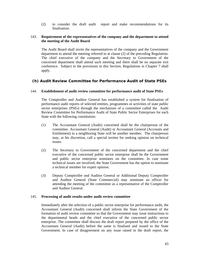(2) to consider the draft audit report and make recommendations for its finalisation.

# 143. **Requirement of the representatives of the company and the department to attend the meeting of the Audit Board**

 The Audit Board shall invite the representatives of the company and the Government department to attend the meeting referred to at clause (2) of the preceding Regulation. The chief executive of the company and the Secretary to Government of the concerned department shall attend such meeting and there shall be no separate exit conference. Subject to the provisions in this Section, Regulations in Chapter 7 shall apply.

# **(h) Audit Review Committee for Performance Audit of State PSEs**

# 144. **Establishment of audit review committee for performance audit of State PSEs**

 The Comptroller and Auditor General has established a system for finalisation of performance audit reports of selected entities, programmes or activities of state public sector enterprises (PSEs) through the mechanism of a committee called the Audit Review Committee for Performance Audit of State Public Sector Enterprises for each State with the following constitution:

- (1) The Accountant General (Audit) concerned shall be the chairperson of the committee. Accountant General (Audit) or Accountant General (Accounts and Entitlement) in a neighboring State will be another member. The chairperson may, at his discretion, call a special invitee for seeking opinion on technical issues.
- (2) The Secretary to Government of the concerned department and the chief executive of the concerned public sector enterprise shall be the Government and public sector enterprise nominees on the committee. In case some technical issues are involved, the State Government has the option to nominate a technical member for expert opinion.
- (3) Deputy Comptroller and Auditor General or Additional Deputy Comptroller and Auditor General (State Commercial) may nominate an officer for attending the meeting of the committee as a representative of the Comptroller and Auditor General.

# 145. **Processing of audit results under audit review committee**

 Immediately after the selection of a public sector enterprise for performance audit, the Accountant General (Audit) concerned shall inform the State Government of the formation of audit review committee so that the Government may issue instructions to the departmental heads and the chief executive of the concerned public sector enterprise. The committee shall discuss the draft report prepared by the office of the Accountant General (Audit) before the same is finalised and issued to the State Government. In case of disagreement on any issue raised in the draft report, the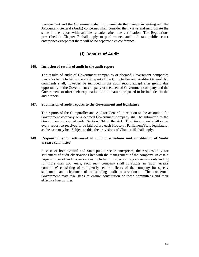management and the Government shall communicate their views in writing and the Accountant General (Audit) concerned shall consider their views and incorporate the same in the report with suitable remarks, after due verification. The Regulations prescribed in Chapter 7 shall apply to performance audit of state public sector enterprises except that there will be no separate exit conference.

# **(i) Results of Audit**

# 146. **Inclusion of results of audit in the audit report**

 The results of audit of Government companies or deemed Government companies may also be included in the audit report of the Comptroller and Auditor General. No comments shall, however, be included in the audit report except after giving due opportunity to the Government company or the deemed Government company and the Government to offer their explanation on the matters proposed to be included in the audit report.

#### 147. **Submission of audit reports to the Government and legislature**

 The reports of the Comptroller and Auditor General in relation to the accounts of a Government company or a deemed Government company shall be submitted to the Government concerned under Section 19A of the Act. The Government shall cause every report so received to be laid before each House of Parliament/State legislature, as the case may be. Subject to this, the provisions of Chapter 15 shall apply.

# 148. **Responsibility for settlement of audit observations and constitution of 'audit arrears committee'**

 In case of both Central and State public sector enterprises, the responsibility for settlement of audit observations lies with the management of the company. In case a large number of audit observations included in inspection reports remain outstanding for more than two years, each such company shall constitute an 'audit arrears committee' consisting of sufficiently senior officers of the company for speedy settlement and clearance of outstanding audit observations. The concerned Government may take steps to ensure constitution of these committees and their effective functioning.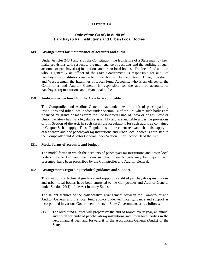# **Role of the C&AG in audit of Panchayati Raj Institutions and Urban Local Bodies**

#### 149. **Arrangements for maintenance of accounts and audit**

 Under Articles 243 J and Z of the Constitution, the legislature of a State may, by law, make provisions with respect to the maintenance of accounts and the auditing of such accounts of panchayati raj institutions and urban local bodies. The local fund auditor, who is generally an officer of the State Government, is responsible for audit of panchayati raj institutions and urban local bodies. In the states of Bihar, Jharkhand and West Bengal, the Examiner of Local Fund Accounts, who is an officer of the Comptroller and Auditor General, is responsible for the audit of accounts of panchayati raj institutions and urban local bodies.

## 150. **Audit under Section 14 of the Act where applicable**

 The Comptroller and Auditor General may undertake the audit of panchayati raj institutions and urban local bodies under Section 14 of the Act where such bodies are financed by grants or loans from the Consolidated Fund of India or of any State or Union Territory having a legislative assembly and are auditable under the provisions of this Section of the Act. In such cases, the Regulations for such audits as contained in Chapter 8 shall apply. These Regulations, to the extent relevant, shall also apply in cases where audit of panchayati raj institutions and urban local bodies is entrusted to the Comptroller and Auditor General under Section 19 or Section 20 of the Act.

# 151. **Model forms of accounts and budget**

 The model forms in which the accounts of panchayati raj institutions and urban local bodies may be kept and the forms in which their budgets may be prepared and presented, have been prescribed by the Comptroller and Auditor General.

#### 152. **Arrangements regarding technical guidance and support**

 The functions of technical guidance and support to audit of panchayati raj institutions and urban local bodies have been entrusted to the Comptroller and Auditor General under Section 20(1) of the Act in many States.

 The salient features of the collaborative arrangement between the Comptroller and Auditor General and the local fund auditor under technical guidance and support as incorporated in various Government orders of State Governments are as follows:

(1) The local fund auditor will prepare by the end of March every year, an annual audit plan for audit of panchayati raj institutions and urban local bodies in the next financial year and forward it to the Accountant General (Audit) of the State: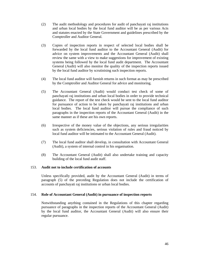- (2) The audit methodology and procedures for audit of panchayati raj institutions and urban local bodies by the local fund auditor will be as per various Acts and statutes enacted by the State Government and guidelines prescribed by the Comptroller and Auditor General.
- (3) Copies of inspection reports in respect of selected local bodies shall be forwarded by the local fund auditor to the Accountant General (Audit) for advice on system improvements and the Accountant General (Audit) shall review the same with a view to make suggestions for improvement of existing systems being followed by the local fund audit department. The Accountant General (Audit) will also monitor the quality of the inspection reports issued by the local fund auditor by scrutinising such inspection reports.
- (4) The local fund auditor will furnish returns in such format as may be prescribed by the Comptroller and Auditor General for advice and monitoring.
- (5) The Accountant General (Audit) would conduct test check of some of panchayati raj institutions and urban local bodies in order to provide technical guidance. The report of the test check would be sent to the local fund auditor for pursuance of action to be taken by panchayati raj institutions and urban local bodies. The local fund auditor will pursue the compliance of such paragraphs in the inspection reports of the Accountant General (Audit) in the same manner as if these are his own reports.
- (6) Irrespective of the money value of the objections, any serious irregularities such as system deficiencies, serious violation of rules and fraud noticed by local fund auditor will be intimated to the Accountant General (Audit).
- (7) The local fund auditor shall develop, in consultation with Accountant General (Audit), a system of internal control in his organisation.
- (8) The Accountant General (Audit) shall also undertake training and capacity building of the local fund audit staff.

# 153. **Audit not to include certification of accounts**

 Unless specifically provided, audit by the Accountant General (Audit) in terms of paragraph (5) of the preceding Regulation does not include the certification of accounts of panchayati raj institutions or urban local bodies.

# 154. **Role of Accountant General (Audit) in pursuance of inspection reports**

 Notwithstanding anything contained in the Regulations of this chapter regarding pursuance of paragraphs in the inspection reports of the Accountant General (Audit) by the local fund auditor, the Accountant General (Audit) will also ensure their regular pursuance.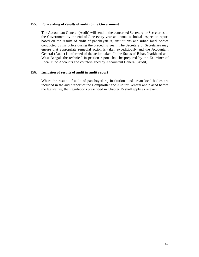## 155. **Forwarding of results of audit to the Government**

 The Accountant General (Audit) will send to the concerned Secretary or Secretaries to the Government by the end of June every year an annual technical inspection report based on the results of audit of panchayati raj institutions and urban local bodies conducted by his office during the preceding year. The Secretary or Secretaries may ensure that appropriate remedial action is taken expeditiously and the Accountant General (Audit) is informed of the action taken. In the States of Bihar, Jharkhand and West Bengal, the technical inspection report shall be prepared by the Examiner of Local Fund Accounts and countersigned by Accountant General (Audit).

# 156. **Inclusion of results of audit in audit report**

 Where the results of audit of panchayati raj institutions and urban local bodies are included in the audit report of the Comptroller and Auditor General and placed before the legislature, the Regulations prescribed in Chapter 15 shall apply as relevant.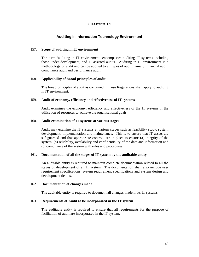# **Auditing in Information Technology Environment**

# 157. **Scope of auditing in IT environment**

The term 'auditing in IT environment' encompasses auditing IT systems including those under development, and IT-assisted audits. Auditing in IT environment is a methodology of audit and can be applied to all types of audit, namely, financial audit, compliance audit and performance audit.

#### 158. **Applicability of broad principles of audit**

 The broad principles of audit as contained in these Regulations shall apply to auditing in IT environment.

### 159. **Audit of economy, efficiency and effectiveness of IT systems**

 Audit examines the economy, efficiency and effectiveness of the IT systems in the utilisation of resources to achieve the organisational goals.

#### 160. **Audit examination of IT systems at various stages**

 Audit may examine the IT systems at various stages such as feasibility study, system development, implementation and maintenance. This is to ensure that IT assets are safeguarded and that appropriate controls are in place to ensure (a) integrity of the system, (b) reliability, availability and confidentiality of the data and information and (c) compliance of the system with rules and procedures.

# 161. **Documentation of all the stages of IT system by the auditable entity**

An auditable entity is required to maintain complete documentation related to all the stages of development of an IT system. The documentation shall also include user requirement specifications, system requirement specifications and system design and development details.

#### 162. **Documentation of changes made**

The auditable entity is required to document all changes made in its IT systems.

# 163. **Requirements of Audit to be incorporated in the IT system**

 The auditable entity is required to ensure that all requirements for the purpose of facilitation of audit are incorporated in the IT system.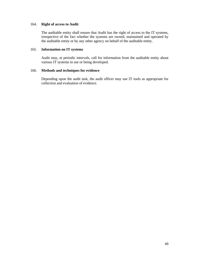# 164. **Right of access to Audit**

 The auditable entity shall ensure that Audit has the right of access to the IT systems, irrespective of the fact whether the systems are owned, maintained and operated by the auditable entity or by any other agency on behalf of the auditable entity.

# 165. **Information on IT systems**

 Audit may, at periodic intervals, call for information from the auditable entity about various IT systems in use or being developed.

# 166. **Methods and techniques for evidence**

 Depending upon the audit task, the audit officer may use IT tools as appropriate for collection and evaluation of evidence.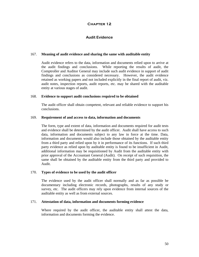# **Audit Evidence**

#### 167. **Meaning of audit evidence and sharing the same with auditable entity**

 Audit evidence refers to the data, information and documents relied upon to arrive at the audit findings and conclusions. While reporting the results of audit, the Comptroller and Auditor General may include such audit evidence in support of audit findings and conclusions as considered necessary. However, the audit evidence retained as working papers and not included explicitly in the final report of audit, viz. audit notes, inspection reports, audit reports, etc. may be shared with the auditable entity at various stages of audit.

## 168. **Evidence to support audit conclusions required to be obtained**

 The audit officer shall obtain competent, relevant and reliable evidence to support his conclusions.

# 169. **Requirement of and access to data, information and documents**

 The form, type and extent of data, information and documents required for audit tests and evidence shall be determined by the audit officer. Audit shall have access to such data, information and documents subject to any law in force at the time. Data, information and documents would also include those obtained by the auditable entity from a third party and relied upon by it in performance of its functions. If such third party evidence as relied upon by auditable entity is found to be insufficient in Audit, additional information may be requisitioned by Audit from the auditable entity with prior approval of the Accountant General (Audit). On receipt of such requisition, the same shall be obtained by the auditable entity from the third party and provided to Audit.

# 170. **Types of evidence to be used by the audit officer**

 The evidence used by the audit officer shall normally and as far as possible be documentary including electronic records, photographs, results of any study or survey, etc. The audit officers may rely upon evidence from internal sources of the auditable entity as well as from external sources.

# 171. **Attestation of data, information and documents forming evidence**

 Where required by the audit officer, the auditable entity shall attest the data, information and documents forming the evidence.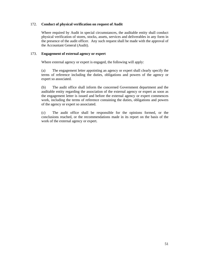# 172. **Conduct of physical verification on request of Audit**

 Where required by Audit in special circumstances, the auditable entity shall conduct physical verification of stores, stocks, assets, services and deliverables in any form in the presence of the audit officer. Any such request shall be made with the approval of the Accountant General (Audit).

# 173. **Engagement of external agency or expert**

Where external agency or expert is engaged, the following will apply:

 (a) The engagement letter appointing an agency or expert shall clearly specify the terms of reference including the duties, obligations and powers of the agency or expert so associated.

 (b) The audit office shall inform the concerned Government department and the auditable entity regarding the association of the external agency or expert as soon as the engagement letter is issued and before the external agency or expert commences work, including the terms of reference containing the duties, obligations and powers of the agency or expert so associated.

(c) The audit office shall be responsible for the opinions formed, or the conclusions reached, or the recommendations made in its report on the basis of the work of the external agency or expert.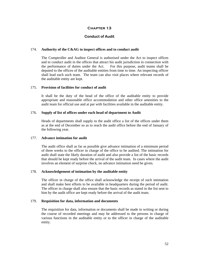# **Conduct of Audit**

#### 174. **Authority of the C&AG to inspect offices and to conduct audit**

 The Comptroller and Auditor General is authorised under the Act to inspect offices and to conduct audit in the offices that attract his audit jurisdiction in connection with the performance of duties under the Act. For this purpose, audit teams shall be deputed to the offices of the auditable entities from time to time. An inspecting officer shall lead each such team. The team can also visit places where relevant records of the auditable entity are kept.

# 175. **Provision of facilities for conduct of audit**

It shall be the duty of the head of the office of the auditable entity to provide appropriate and reasonable office accommodation and other office amenities to the audit team for official use and at par with facilities available in the auditable entity.

## 176. **Supply of list of offices under each head of department to Audit**

 Heads of departments shall supply to the audit office a list of the offices under them as at the end of December so as to reach the audit office before the end of January of the following year.

#### 177. **Advance intimation for audit**

 The audit office shall as far as possible give advance intimation of a minimum period of three weeks to the officer in charge of the office to be audited. The intimation for audit shall state the likely duration of audit and also provide a list of the basic records that should be kept ready before the arrival of the audit team. In cases where the audit involves an element of surprise check, no advance intimation need be given.

#### 178. **Acknowledgement of intimation by the auditable entity**

 The officer in charge of the office shall acknowledge the receipt of such intimation and shall make best efforts to be available in headquarters during the period of audit. The officer in charge shall also ensure that the basic records as stated in the list sent to him by the audit office are kept ready before the arrival of the audit team.

#### 179. **Requisition for data, information and documents**

The requisition for data, information or documents shall be made in writing or during the course of recorded meetings and may be addressed to the persons in charge of various functions in the auditable entity or to the officer in charge of the auditable entity.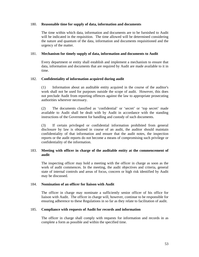# 180. **Reasonable time for supply of data, information and documents**

The time within which data, information and documents are to be furnished to Audit will be indicated in the requisition. The time allowed will be determined considering the nature and quantum of the data, information and documents requisitioned and the urgency of the matter.

# 181. **Mechanism for timely supply of data, information and documents to Audit**

Every department or entity shall establish and implement a mechanism to ensure that data, information and documents that are required by Audit are made available to it in time.

# 182. **Confidentiality of information acquired during audit**

(1) Information about an auditable entity acquired in the course of the auditor's work shall not be used for purposes outside the scope of audit. However, this does not preclude Audit from reporting offences against the law to appropriate prosecuting authorities wherever necessary.

(2) The documents classified as 'confidential' or 'secret' or 'top secret' made available to Audit shall be dealt with by Audit in accordance with the standing instructions of the Government for handling and custody of such documents.

(3) If certain privileged or confidential information prohibited from general disclosure by law is obtained in course of an audit, the auditor should maintain confidentiality of that information and ensure that the audit notes, the inspection reports or the audit reports do not become a means of compromising such privilege or confidentiality of the information.

# 183. **Meeting with officer in charge of the auditable entity at the commencement of audit**

The inspecting officer may hold a meeting with the officer in charge as soon as the work of audit commences. In the meeting, the audit objectives and criteria, general state of internal controls and areas of focus, concern or high risk identified by Audit may be discussed.

#### 184. **Nomination of an officer for liaison with Audit**

 The officer in charge may nominate a sufficiently senior officer of his office for liaison with Audit. The officer in charge will, however, continue to be responsible for ensuring adherence to these Regulations in so far as they relate to facilitation of audit.

# 185. **Compliance with requests of Audit for records and information**

The officer in charge shall comply with requests for information and records in as complete a form as possible and within the specified time.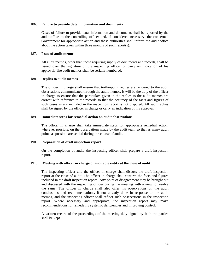#### 186. **Failure to provide data, information and documents**

Cases of failure to provide data, information and documents shall be reported by the audit office to the controlling officer and, if considered necessary, the concerned Government for appropriate action and these authorities shall inform the audit office about the action taken within three months of such report(s).

## 187. **Issue of audit memos**

 All audit memos, other than those requiring supply of documents and records, shall be issued over the signature of the inspecting officer or carry an indication of his approval. The audit memos shall be serially numbered.

#### 188. **Replies to audit memos**

 The officer in charge shall ensure that to-the-point replies are rendered to the audit observations communicated through the audit memos. It will be the duty of the officer in charge to ensure that the particulars given in the replies to the audit memos are correct with reference to the records so that the accuracy of the facts and figures of such cases as are included in the inspection report is not disputed. All such replies shall be signed by the officer in charge or carry an indication of his approval.

#### 189. **Immediate steps for remedial action on audit observations**

 The officer in charge shall take immediate steps for appropriate remedial action, wherever possible, on the observations made by the audit team so that as many audit points as possible are settled during the course of audit.

# 190. **Preparation of draft inspection report**

 On the completion of audit, the inspecting officer shall prepare a draft inspection report.

# 191. **Meeting with officer in charge of auditable entity at the close of audit**

 The inspecting officer and the officer in charge shall discuss the draft inspection report at the close of audit. The officer in charge shall confirm the facts and figures included in the draft inspection report. Any point of disagreement may be brought out and discussed with the inspecting officer during the meeting with a view to resolve the same. The officer in charge shall also offer his observations on the audit conclusions and recommendations, if not already done in response to the audit memos, and the inspecting officer shall reflect such observations in the inspection report. Where necessary and appropriate, the inspection report may make recommendations for remedying systemic deficiencies and improving control.

A written record of the proceedings of the meeting duly signed by both the parties shall be kept.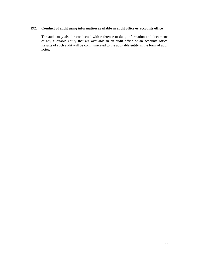# 192. **Conduct of audit using information available in audit office or accounts office**

 The audit may also be conducted with reference to data, information and documents of any auditable entity that are available in an audit office or an accounts office. Results of such audit will be communicated to the auditable entity in the form of audit notes.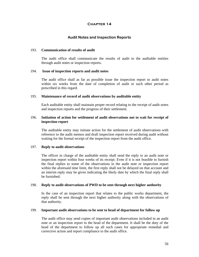# **Audit Notes and Inspection Reports**

# 193. **Communication of results of audit**

 The audit office shall communicate the results of audit to the auditable entities through audit notes or inspection reports.

#### 194. **Issue of inspection reports and audit notes**

 The audit office shall as far as possible issue the inspection report or audit notes within six weeks from the date of completion of audit or such other period as prescribed in this regard.

#### 195. **Maintenance of record of audit observations by auditable entity**

 Each auditable entity shall maintain proper record relating to the receipt of audit notes and inspection reports and the progress of their settlement.

# 196. **Initiation of action for settlement of audit observations not to wait for receipt of inspection report**

 The auditable entity may initiate action for the settlement of audit observations with reference to the audit memos and draft inspection report received during audit without waiting for the formal receipt of the inspection report from the audit office.

# 197. **Reply to audit observations**

 The officer in charge of the auditable entity shall send the reply to an audit note or inspection report within four weeks of its receipt. Even if it is not feasible to furnish the final replies to some of the observations in the audit note or inspection report within the aforesaid time limit, the first reply shall not be delayed on that account and an interim reply may be given indicating the likely date by which the final reply shall be furnished.

#### 198. **Reply to audit observations of PWD to be sent through next higher authority**

 In the case of an inspection report that relates to the public works department, the reply shall be sent through the next higher authority along with the observations of that authority.

#### 199. **Important audit observations to be sent to head of department for follow up**

 The audit office may send copies of important audit observations included in an audit note or an inspection report to the head of the department. It shall be the duty of the head of the department to follow up all such cases for appropriate remedial and corrective action and report compliance to the audit office.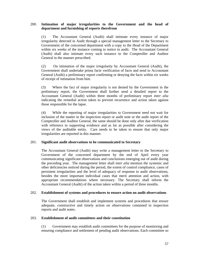# 200. **Intimation of major irregularities to the Government and the head of department and furnishing of reports therefrom**

 (1) The Accountant General (Audit) shall intimate every instance of major irregularity detected in Audit through a special management letter to the Secretary to Government of the concerned department with a copy to the Head of the Department within six weeks of the instance coming to notice in audit. The Accountant General (Audit) shall also intimate every such instance to the Comptroller and Auditor General in the manner prescribed.

(2) On intimation of the major irregularity by Accountant General (Audit), the Government shall undertake prima facie verification of facts and send to Accountant General (Audit) a preliminary report confirming or denying the facts within six weeks of receipt of intimation from him.

(3) Where the fact of major irregularity is not denied by the Government in the preliminary report, the Government shall further send a detailed report to the Accountant General (Audit) within three months of preliminary report *inter alia*  indicating the remedial action taken to prevent recurrence and action taken against those responsible for the lapse.

(4) While the reporting of major irregularities to Government need not wait for inclusion of the matter in the inspection report or audit note or the audit report of the Comptroller and Auditor General, the same should be done only after due verification with reference to supporting evidence and as far as possible after considering the views of the auditable entity. Care needs to be taken to ensure that only major irregularities are reported in this manner.

# 201. **Significant audit observations to be communicated to Secretary**

 The Accountant General (Audit) may write a management letter to the Secretary to Government of the concerned department by the end of April every year communicating significant observations and conclusions emerging out of audit during the preceding year. The management letter shall *inter alia* mention the systemic and other deficiencies noticed during the period, the extent of control compliance, cases of persistent irregularities and the level of adequacy of response to audit observations, besides the more important individual cases that merit attention and action, with appropriate recommendations where necessary. The Secretary shall inform the Accountant General (Audit) of the action taken within a period of three months.

# 202. **Establishment of systems and procedures to ensure action on audit observations**

The Government shall establish and implement systems and procedures that ensure adequate, constructive and timely action on observations contained in inspection reports and audit notes.

# 203. **Establishment of audit committees and their constitution**

 (1) Government may establish audit committees for the purpose of monitoring and ensuring compliance and settlement of pending audit observations. Each committee so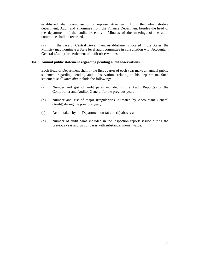established shall comprise of a representative each from the administrative department, Audit and a nominee from the Finance Department besides the head of the department of the auditable entity. Minutes of the meetings of the audit committee shall be recorded.

 (2) In the case of Central Government establishments located in the States, the Ministry may nominate a State level audit committee in consultation with Accountant General (Audit) for settlement of audit observations.

# 204. **Annual public statement regarding pending audit observations**

Each Head of Department shall in the first quarter of each year make an annual public statement regarding pending audit observations relating to his department. Such statement shall *inter alia* include the following:

- (a) Number and gist of audit paras included in the Audit Report(s) of the Comptroller and Auditor General for the previous year;
- (b) Number and gist of major irregularities intimated by Accountant General (Audit) during the previous year;
- (c) Action taken by the Department on (a) and (b) above; and
- (d) Number of audit paras included in the inspection reports issued during the previous year and gist of paras with substantial money value;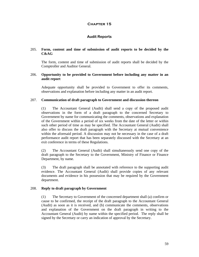# **Audit Reports**

# 205. **Form, content and time of submission of audit reports to be decided by the C&AG**

 The form, content and time of submission of audit reports shall be decided by the Comptroller and Auditor General.

## 206. **Opportunity to be provided to Government before including any matter in an audit report**

 Adequate opportunity shall be provided to Government to offer its comments, observations and explanation before including any matter in an audit report.

#### 207. **Communication of draft paragraph to Government and discussion thereon**

 (1) The Accountant General (Audit) shall send a copy of the proposed audit observations in the form of a draft paragraph to the concerned Secretary to Government by name for communicating the comments, observations and explanation of the Government within a period of six weeks from the date of the letter or within such other period of time as may be specified. The Accountant General (Audit) shall also offer to discuss the draft paragraph with the Secretary at mutual convenience within the aforesaid period. A discussion may not be necessary in the case of a draft performance audit report that has been separately discussed with the Secretary at an exit conference in terms of these Regulations.

 (2) The Accountant General (Audit) shall simultaneously send one copy of the draft paragraph to the Secretary to the Government, Ministry of Finance or Finance Department, by name.

 (3) The draft paragraph shall be annotated with reference to the supporting audit evidence. The Accountant General (Audit) shall provide copies of any relevant documents and evidence in his possession that may be required by the Government department.

#### 208. **Reply to draft paragraph by Government**

 (1) The Secretary to Government of the concerned department shall (a) confirm or cause to be confirmed, the receipt of the draft paragraph to the Accountant General (Audit) as soon as it is received, and (b) communicate the comments, observations and explanation of the Government on the draft paragraph in writing to the Accountant General (Audit) by name within the specified period. The reply shall be signed by the Secretary or carry an indication of approval by the Secretary.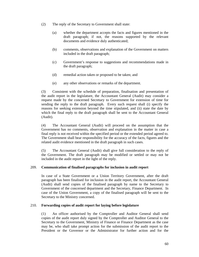- (2) The reply of the Secretary to Government shall state:
	- (a) whether the department accepts the facts and figures mentioned in the draft paragraph; if not, the reasons supported by the relevant documents and evidence duly authenticated;
	- (b) comments, observations and explanation of the Government on matters included in the draft paragraph;
	- (c) Government's response to suggestions and recommendations made in the draft paragraph;
	- (d) remedial action taken or proposed to be taken; and
	- (e) any other observations or remarks of the department.

 (3) Consistent with the schedule of preparation, finalisation and presentation of the audit report in the legislature, the Accountant General (Audit) may consider a request made by the concerned Secretary to Government for extension of time for sending the reply to the draft paragraph. Every such request shall (i) specify the reasons for seeking extension beyond the time stipulated, and (ii) state the date by which the final reply to the draft paragraph shall be sent to the Accountant General (Audit).

 (4) The Accountant General (Audit) will proceed on the assumption that the Government has no comments, observation and explanation in the matter in case a final reply is not received within the specified period or the extended period agreed to. The Government shall bear responsibility for the accuracy of the facts, figures and the related audit evidence mentioned in the draft paragraph in such cases.

 (5) The Accountant General (Audit) shall give full consideration to the reply of the Government. The draft paragraph may be modified or settled or may not be included in the audit report in the light of the reply.

# 209. **Communication of finalised paragraphs for inclusion in audit report**

 In case of a State Government or a Union Territory Government, after the draft paragraph has been finalised for inclusion in the audit report, the Accountant General (Audit) shall send copies of the finalised paragraph by name to the Secretary to Government of the concerned department and the Secretary, Finance Department. In case of the Union Government, a copy of the finalised paragraph will be sent to the Secretary to the Ministry concerned.

# 210. **Forwarding copies of audit report for laying before legislature**

 (1) An officer authorised by the Comptroller and Auditor General shall send copies of the audit report duly signed by the Comptroller and Auditor General to the Secretary to the Government, Ministry of Finance or Finance Department as the case may be, who shall take prompt action for the submission of the audit report to the President or the Governor or the Administrator for further action and for the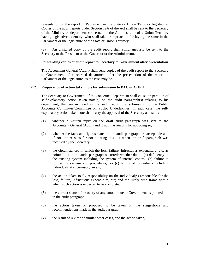presentation of the report in Parliament or the State or Union Territory legislature. Copies of the audit reports under Section 19A of the Act shall be sent to the Secretary of the Ministry or department concerned or the Administrator of a Union Territory having legislative assembly, who shall take prompt action for laying the same in the Parliament or the legislature of the State or Union Territory.

(2) An unsigned copy of the audit report shall simultaneously be sent to the Secretary to the President or the Governor or the Administrator.

# 211. **Forwarding copies of audit report to Secretary to Government after presentation**

 The Accountant General (Audit) shall send copies of the audit report to the Secretary to Government of concerned department after the presentation of the report in Parliament or the legislature, as the case may be.

# 212. **Preparation of action taken note for submission to PAC or COPU**

 The Secretary to Government of the concerned department shall cause preparation of self-explanatory action taken note(s) on the audit paragraph(s) relating to his department, that are included in the audit report, for submission to the Public Accounts Committee/Committee on Public Undertakings. In each case, the selfexplanatory action taken note shall carry the approval of the Secretary and state:

- (1) whether a written reply on the draft audit paragraph was sent to the Accountant General (Audit) and if not, the reasons for not doing so;
- (2) whether the facts and figures stated in the audit paragraph are acceptable and if not, the reasons for not pointing this out when the draft paragraph was received by the Secretary;
- (3) the circumstances in which the loss, failure, infructuous expenditure, etc. as pointed out in the audit paragraph occurred; whether due to (a) deficiency in the existing system including the system of internal control, (b) failure to follow the systems and procedures, or (c) failure of individuals including individuals at supervisory levels;
- (4) the action taken to fix responsibility on the individual(s) responsible for the loss, failure, infructuous expenditure, etc; and the likely time frame within which such action is expected to be completed;
- (5) the current status of recovery of any amount due to Government as pointed out in the audit paragraph;
- (6) the action taken or proposed to be taken on the suggestions and recommendations made in the audit paragraph;
- (7) the result of review of similar other cases, and the action taken;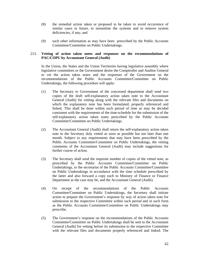- (8) the remedial action taken or proposed to be taken to avoid occurrence of similar cases in future, to streamline the systems and to remove system deficiencies, if any; and
- (9) such other information as may have been prescribed by the Public Accounts Committee/Committee on Public Undertakings.

# 213. **Vetting of action taken notes and responses on the recommendations of PAC/COPU by Accountant General (Audit)**

 In the Union, the States and the Union Territories having legislative assembly where legislative committees or the Government desire the Comptroller and Auditor General to vet the action taken notes and the responses of the Government on the recommendations of the Public Accounts Committee/Committee on Public Undertakings, the following procedure will apply:

- (1) The Secretary to Government of the concerned department shall send two copies of the draft self-explanatory action taken note to the Accountant General (Audit) for vetting along with the relevant files and documents on which the explanatory note has been formulated, properly referenced and linked. This shall be done within such period of time as may be decided consistent with the requirements of the time-schedule for the submission of the self-explanatory action taken notes prescribed by the Public Accounts Committee/Committee on Public Undertakings.
- (2) The Accountant General (Audit) shall return the self-explanatory action taken note to the Secretary duly vetted as soon as possible but not later than one month. Subject to any requirements that may have been prescribed by the Public Accounts Committee/Committee on Public Undertakings, the vetting comments of the Accountant General (Audit) may include suggestions for further course of action.
- (3) The Secretary shall send the requisite number of copies of the vetted note, as prescribed by the Public Accounts Committee/Committee on Public Undertakings, to the secretariat of the Public Accounts Committee/Committee on Public Undertakings in accordance with the time schedule prescribed by the latter and also forward a copy each to Ministry of Finance or Finance Department as the case may be, and the Accountant General (Audit).
- (4) On receipt of the recommendations of the Public Accounts Committee/Committee on Public Undertakings, the Secretary shall initiate action to prepare the Government's response by way of action taken note for submission to the respective Committee within such period and in such form as the Public Accounts Committee/Committee on Public Undertakings may prescribe.
- (5) The Government's response on the recommendations of the Public Accounts Committee/Committee on Public Undertakings shall be sent to the Accountant General (Audit) for vetting before its submission to the respective Committee with the relevant files and documents properly referenced and linked. The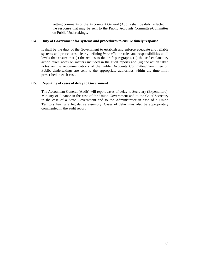vetting comments of the Accountant General (Audit) shall be duly reflected in the response that may be sent to the Public Accounts Committee/Committee on Public Undertakings.

# 214. **Duty of Government for systems and procedures to ensure timely response**

 It shall be the duty of the Government to establish and enforce adequate and reliable systems and procedures, clearly defining *inter alia* the roles and responsibilities at all levels that ensure that (i) the replies to the draft paragraphs, (ii) the self-explanatory action taken notes on matters included in the audit reports and (iii) the action taken notes on the recommendations of the Public Accounts Committee/Committee on Public Undertakings are sent to the appropriate authorities within the time limit prescribed in each case.

# 215. **Reporting of cases of delay to Government**

 The Accountant General (Audit) will report cases of delay to Secretary (Expenditure), Ministry of Finance in the case of the Union Government and to the Chief Secretary in the case of a State Government and to the Administrator in case of a Union Territory having a legislative assembly. Cases of delay may also be appropriately commented in the audit report.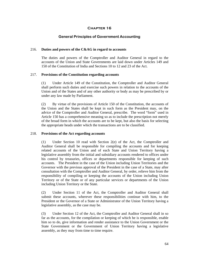# **General Principles of Government Accounting**

# 216. **Duties and powers of the C&AG in regard to accounts**

 The duties and powers of the Comptroller and Auditor General in regard to the accounts of the Union and State Governments are laid down under Articles 149 and 150 of the Constitution of India and Sections 10 to 12 and 23 of the Act.

# 217. **Provisions of the Constitution regarding accounts**

 (1) Under Article 149 of the Constitution, the Comptroller and Auditor General shall perform such duties and exercise such powers in relation to the accounts of the Union and of the States and of any other authority or body as may be prescribed by or under any law made by Parliament.

 (2) By virtue of the provisions of Article 150 of the Constitution, the accounts of the Union and the States shall be kept in such form as the President may, on the advice of the Comptroller and Auditor General, prescribe. The word "form" used in Article 150 has a comprehensive meaning so as to include the prescription not merely of the broad form in which the accounts are to be kept, but also the basis for selecting the appropriate heads under which the transactions are to be classified.

# 218. **Provisions of the Act regarding accounts**

 (1) Under Section 10 read with Section 2(e) of the Act, the Comptroller and Auditor General shall be responsible for compiling the accounts and for keeping related accounts of the Union and of each State and Union Territory having a legislative assembly from the initial and subsidiary accounts rendered to offices under his control by treasuries, offices or departments responsible for keeping of such accounts. The President in the case of the Union including Union Territories and the Governor with the previous approval of the President in the case of a State, may after consultation with the Comptroller and Auditor General, by order, relieve him from the responsibility of compiling or keeping the accounts of the Union including Union Territory or of the State or of any particular services or departments of the Union including Union Territory or the State.

 (2) Under Section 11 of the Act, the Comptroller and Auditor General shall submit these accounts, wherever these responsibilities continue with him, to the President or the Governor of a State or Administrator of the Union Territory having a legislative assembly, as the case may be.

 (3) Under Section 12 of the Act, the Comptroller and Auditor General shall in so far as the accounts, for the compilation or keeping of which he is responsible, enable him so to do, give information and render assistance to the Union Government or the State Government or the Government of Union Territory having a legislative assembly, as they may from time to time require.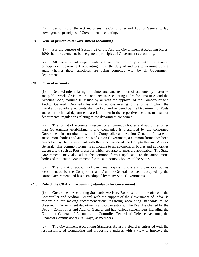(4) Section 23 of the Act authorises the Comptroller and Auditor General to lay down general principles of Government accounting.

# 219. **General principles of Government accounting**

 (1) For the purpose of Section 23 of the Act, the Government Accounting Rules, 1990 shall be deemed to be the general principles of Government accounting.

 (2) All Government departments are required to comply with the general principles of Government accounting. It is the duty of auditors to examine during audit whether these principles are being complied with by all Government departments.

# 220. **Form of accounts**

 (1) Detailed rules relating to maintenance and rendition of accounts by treasuries and public works divisions are contained in Accounting Rules for Treasuries and the Account Code, Volume III issued by or with the approval of the Comptroller and Auditor General. Detailed rules and instructions relating to the forms in which the initial and subsidiary accounts shall be kept and rendered by the Department of Posts and other technical departments are laid down in the respective accounts manuals or departmental regulations relating to the department concerned.

 (2) The format of accounts in respect of autonomous bodies and authorities other than Government establishments and companies is prescribed by the concerned Government in consultation with the Comptroller and Auditor General. In case of autonomous bodies and authorities of Union Government, a common format has been prescribed by the Government with the concurrence of the Comptroller and Auditor General. This common format is applicable to all autonomous bodies and authorities except a few such as Port Trusts for which separate formats are applicable. The State Governments may also adopt the common format applicable to the autonomous bodies of the Union Government, for the autonomous bodies of the States.

 (3) The format of accounts of panchayati raj institutions and urban local bodies recommended by the Comptroller and Auditor General has been accepted by the Union Government and has been adopted by many State Governments.

# 221. **Role of the C&AG in accounting standards for Government**

(1) Government Accounting Standards Advisory Board set up in the office of the Comptroller and Auditor General with the support of the Government of India is responsible for making recommendations regarding accounting standards to be observed in Government departments and organisations. The Board is chaired by the Deputy Comptroller and Auditor General and has various stakeholders including the Controller General of Accounts, the Controller General of Defence Accounts, the Financial Commissioner (Railways) as members.

(2) The Government Accounting Standards Advisory Board is entrusted with the responsibility of formulating and proposing standards with a view to improve the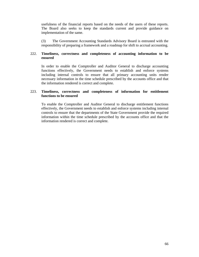usefulness of the financial reports based on the needs of the users of these reports. The Board also seeks to keep the standards current and provide guidance on implementation of the same.

(3) The Government Accounting Standards Advisory Board is entrusted with the responsibility of preparing a framework and a roadmap for shift to accrual accounting.

# 222. **Timeliness, correctness and completeness of accounting information to be ensured**

In order to enable the Comptroller and Auditor General to discharge accounting functions effectively, the Government needs to establish and enforce systems including internal controls to ensure that all primary accounting units render necessary information in the time schedule prescribed by the accounts office and that the information rendered is correct and complete.

# 223. **Timeliness, correctness and completeness of information for entitlement functions to be ensured**

To enable the Comptroller and Auditor General to discharge entitlement functions effectively, the Government needs to establish and enforce systems including internal controls to ensure that the departments of the State Government provide the required information within the time schedule prescribed by the accounts office and that the information rendered is correct and complete.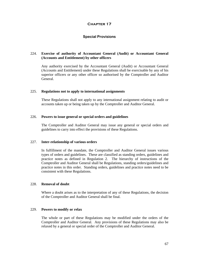# **Special Provisions**

# 224. **Exercise of authority of Accountant General (Audit) or Accountant General (Accounts and Entitlement) by other officers**

 Any authority exercised by the Accountant General (Audit) or Accountant General (Accounts and Entitlement) under these Regulations shall be exercisable by any of his superior officers or any other officer so authorised by the Comptroller and Auditor General.

#### 225. **Regulations not to apply to international assignments**

These Regulations shall not apply to any international assignment relating to audit or accounts taken up or being taken up by the Comptroller and Auditor General.

#### 226. **Powers to issue general or special orders and guidelines**

 The Comptroller and Auditor General may issue any general or special orders and guidelines to carry into effect the provisions of these Regulations.

#### 227. **Inter-relationship of various orders**

 In fulfillment of the mandate, the Comptroller and Auditor General issues various types of orders and guidelines. These are classified as standing orders, guidelines and practice notes as defined in Regulation 2. The hierarchy of instructions of the Comptroller and Auditor General shall be Regulations, standing orders/guidelines and practice notes in this order. Standing orders, guidelines and practice notes need to be consistent with these Regulations.

### 228. **Removal of doubt**

 Where a doubt arises as to the interpretation of any of these Regulations, the decision of the Comptroller and Auditor General shall be final.

## 229. **Powers to modify or relax**

 The whole or part of these Regulations may be modified under the orders of the Comptroller and Auditor General. Any provisions of these Regulations may also be relaxed by a general or special order of the Comptroller and Auditor General.